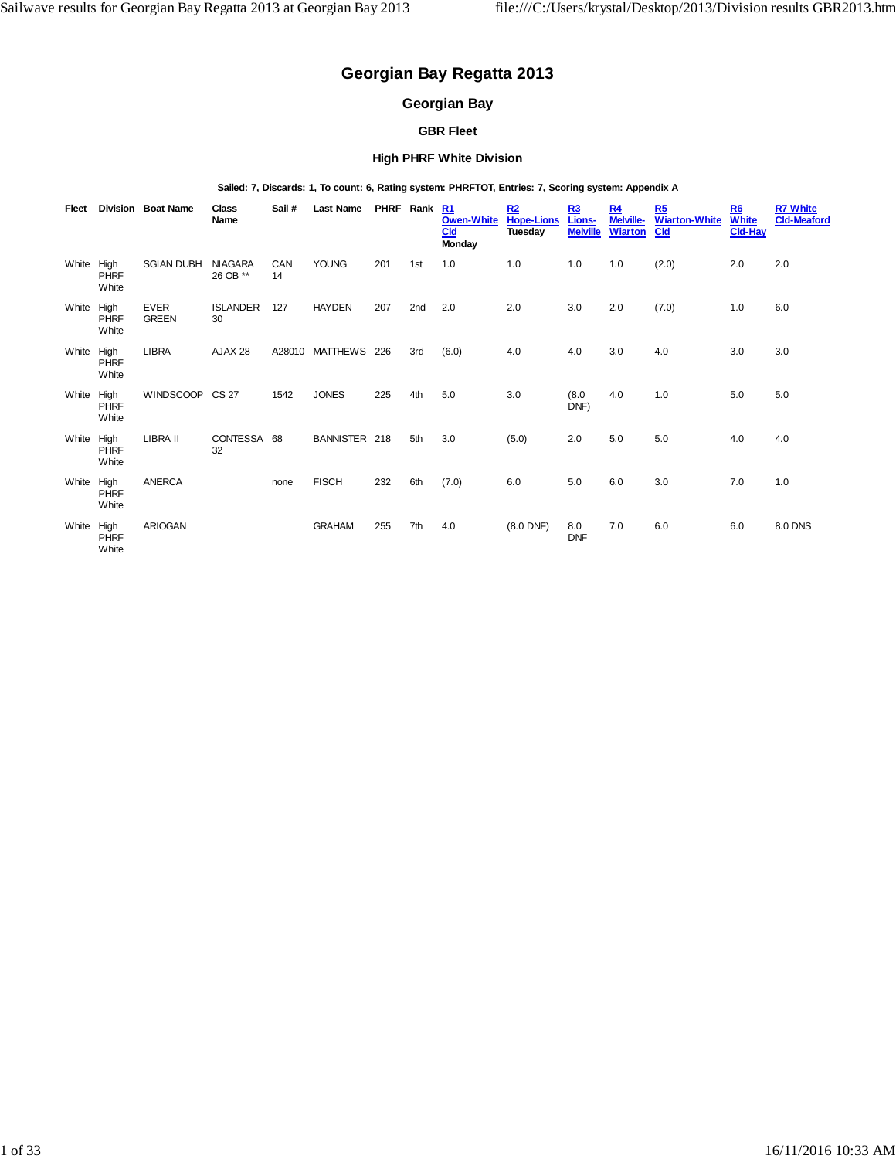# **Georgian Bay Regatta 2013**

# **Georgian Bay**

### **GBR Fleet**

### **High PHRF White Division**

### **Sailed: 7, Discards: 1, To count: 6, Rating system: PHRFTOT, Entries: 7, Scoring system: Appendix A**

| Fleet |                              | <b>Division Boat Name</b>   | Class<br>Name              | Sail #           | Last Name        |     | PHRF Rank | R1<br><b>Owen-White</b><br>Cld<br>Monday | R2<br><b>Hope-Lions</b><br>Tuesday | R3<br>Lions-<br><b>Melville</b> | R <sub>4</sub><br>Melville-<br><b>Wiarton</b> | R5<br><b>Wiarton-White</b><br><b>Cld</b> | R6<br><b>White</b><br><b>Cld-Hay</b> | <b>R7 White</b><br><b>Cld-Meaford</b> |
|-------|------------------------------|-----------------------------|----------------------------|------------------|------------------|-----|-----------|------------------------------------------|------------------------------------|---------------------------------|-----------------------------------------------|------------------------------------------|--------------------------------------|---------------------------------------|
| White | High<br><b>PHRF</b><br>White | <b>SGIAN DUBH</b>           | <b>NIAGARA</b><br>26 OB ** | <b>CAN</b><br>14 | <b>YOUNG</b>     | 201 | 1st       | 1.0                                      | 1.0                                | 1.0                             | 1.0                                           | (2.0)                                    | 2.0                                  | 2.0                                   |
| White | High<br><b>PHRF</b><br>White | <b>EVER</b><br><b>GREEN</b> | <b>ISLANDER</b><br>30      | 127              | <b>HAYDEN</b>    | 207 | 2nd       | 2.0                                      | 2.0                                | 3.0                             | 2.0                                           | (7.0)                                    | 1.0                                  | 6.0                                   |
| White | High<br>PHRF<br>White        | <b>LIBRA</b>                | AJAX 28                    | A28010           | <b>MATTHEWS</b>  | 226 | 3rd       | (6.0)                                    | 4.0                                | 4.0                             | 3.0                                           | 4.0                                      | 3.0                                  | 3.0                                   |
| White | High<br><b>PHRF</b><br>White | WINDSCOOP CS 27             |                            | 1542             | <b>JONES</b>     | 225 | 4th       | 5.0                                      | 3.0                                | (8.0)<br>DNF)                   | 4.0                                           | 1.0                                      | 5.0                                  | 5.0                                   |
| White | High<br><b>PHRF</b><br>White | LIBRA II                    | CONTESSA 68<br>32          |                  | <b>BANNISTER</b> | 218 | 5th       | 3.0                                      | (5.0)                              | 2.0                             | 5.0                                           | 5.0                                      | 4.0                                  | 4.0                                   |
| White | High<br><b>PHRF</b><br>White | <b>ANERCA</b>               |                            | none             | <b>FISCH</b>     | 232 | 6th       | (7.0)                                    | 6.0                                | 5.0                             | 6.0                                           | 3.0                                      | 7.0                                  | 1.0                                   |
| White | High<br><b>PHRF</b><br>White | <b>ARIOGAN</b>              |                            |                  | <b>GRAHAM</b>    | 255 | 7th       | 4.0                                      | $(8.0$ DNF)                        | 8.0<br><b>DNF</b>               | 7.0                                           | 6.0                                      | 6.0                                  | 8.0 DNS                               |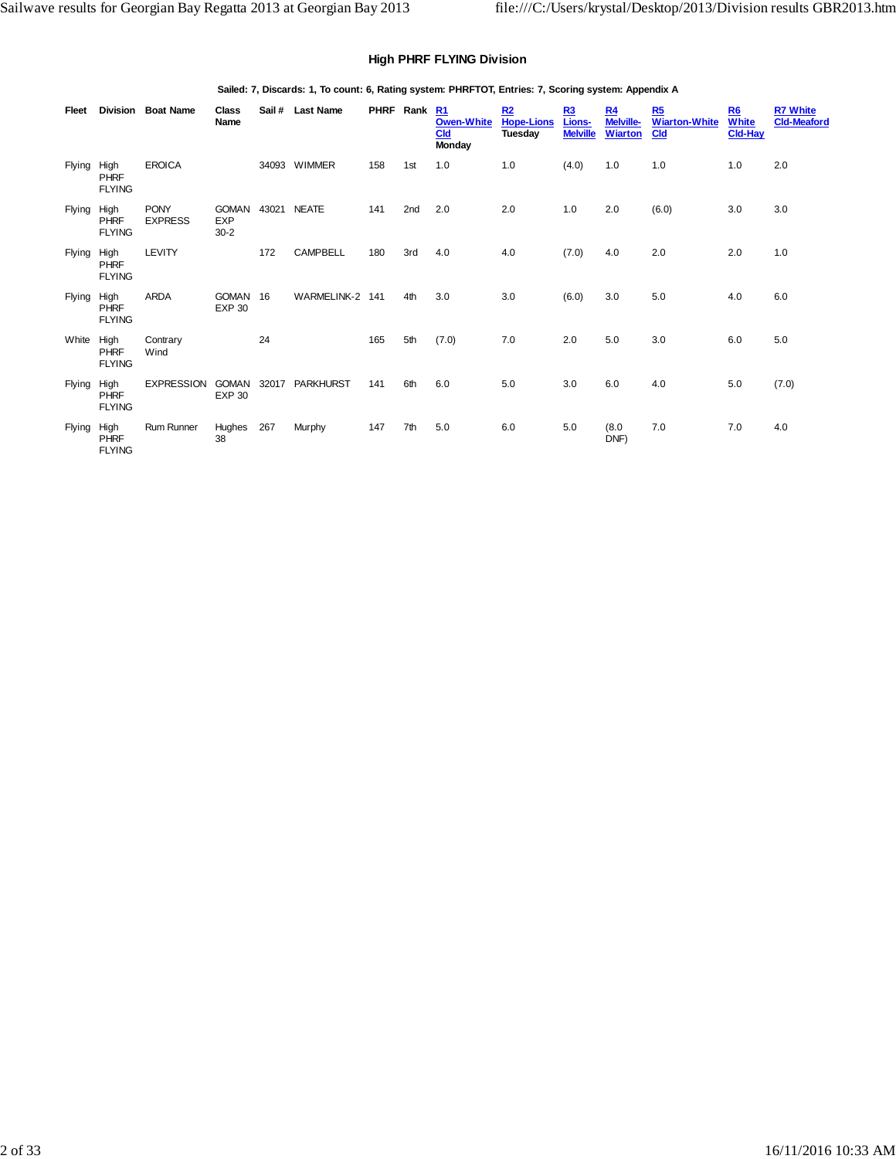### **High PHRF FLYING Division**

### **Sailed: 7, Discards: 1, To count: 6, Rating system: PHRFTOT, Entries: 7, Scoring system: Appendix A**

| Fleet         |                                      | Division Boat Name            | Class<br>Name                          | Sail # | <b>Last Name</b> | PHRF Rank R1 |     | <b>Owen-White</b><br>Cld<br>Monday | R2<br><b>Hope-Lions</b><br><b>Tuesday</b> | <b>R3</b><br>Lions-<br><b>Melville</b> | R <sub>4</sub><br><b>Melville-</b><br><b>Wiarton</b> | R5<br><b>Wiarton-White</b><br><b>Cld</b> | R6<br><b>White</b><br><b>Cld-Hay</b> | <b>R7 White</b><br><b>Cld-Meaford</b> |
|---------------|--------------------------------------|-------------------------------|----------------------------------------|--------|------------------|--------------|-----|------------------------------------|-------------------------------------------|----------------------------------------|------------------------------------------------------|------------------------------------------|--------------------------------------|---------------------------------------|
| Flying        | High<br><b>PHRF</b><br><b>FLYING</b> | <b>EROICA</b>                 |                                        |        | 34093 WIMMER     | 158          | 1st | 1.0                                | 1.0                                       | (4.0)                                  | 1.0                                                  | 1.0                                      | 1.0                                  | 2.0                                   |
| Flying        | High<br><b>PHRF</b><br><b>FLYING</b> | <b>PONY</b><br><b>EXPRESS</b> | <b>GOMAN</b><br><b>EXP</b><br>$30 - 2$ |        | 43021 NEATE      | 141          | 2nd | 2.0                                | 2.0                                       | 1.0                                    | 2.0                                                  | (6.0)                                    | 3.0                                  | 3.0                                   |
| <b>Flying</b> | High<br><b>PHRF</b><br><b>FLYING</b> | <b>LEVITY</b>                 |                                        | 172    | <b>CAMPBELL</b>  | 180          | 3rd | 4.0                                | 4.0                                       | (7.0)                                  | 4.0                                                  | 2.0                                      | 2.0                                  | 1.0                                   |
| <b>Flying</b> | High<br><b>PHRF</b><br><b>FLYING</b> | ARDA                          | GOMAN 16<br><b>EXP 30</b>              |        | WARMELINK-2 141  |              | 4th | 3.0                                | 3.0                                       | (6.0)                                  | 3.0                                                  | 5.0                                      | 4.0                                  | 6.0                                   |
| White         | High<br><b>PHRF</b><br><b>FLYING</b> | Contrary<br>Wind              |                                        | 24     |                  | 165          | 5th | (7.0)                              | 7.0                                       | 2.0                                    | 5.0                                                  | 3.0                                      | 6.0                                  | 5.0                                   |
| <b>Flying</b> | High<br><b>PHRF</b><br><b>FLYING</b> | EXPRESSION GOMAN 32017        | <b>EXP 30</b>                          |        | <b>PARKHURST</b> | 141          | 6th | 6.0                                | 5.0                                       | 3.0                                    | 6.0                                                  | 4.0                                      | 5.0                                  | (7.0)                                 |
| Flying        | High<br><b>PHRF</b><br><b>FLYING</b> | Rum Runner                    | Hughes<br>38                           | 267    | Murphy           | 147          | 7th | 5.0                                | 6.0                                       | 5.0                                    | (8.0)<br>DNF)                                        | 7.0                                      | 7.0                                  | 4.0                                   |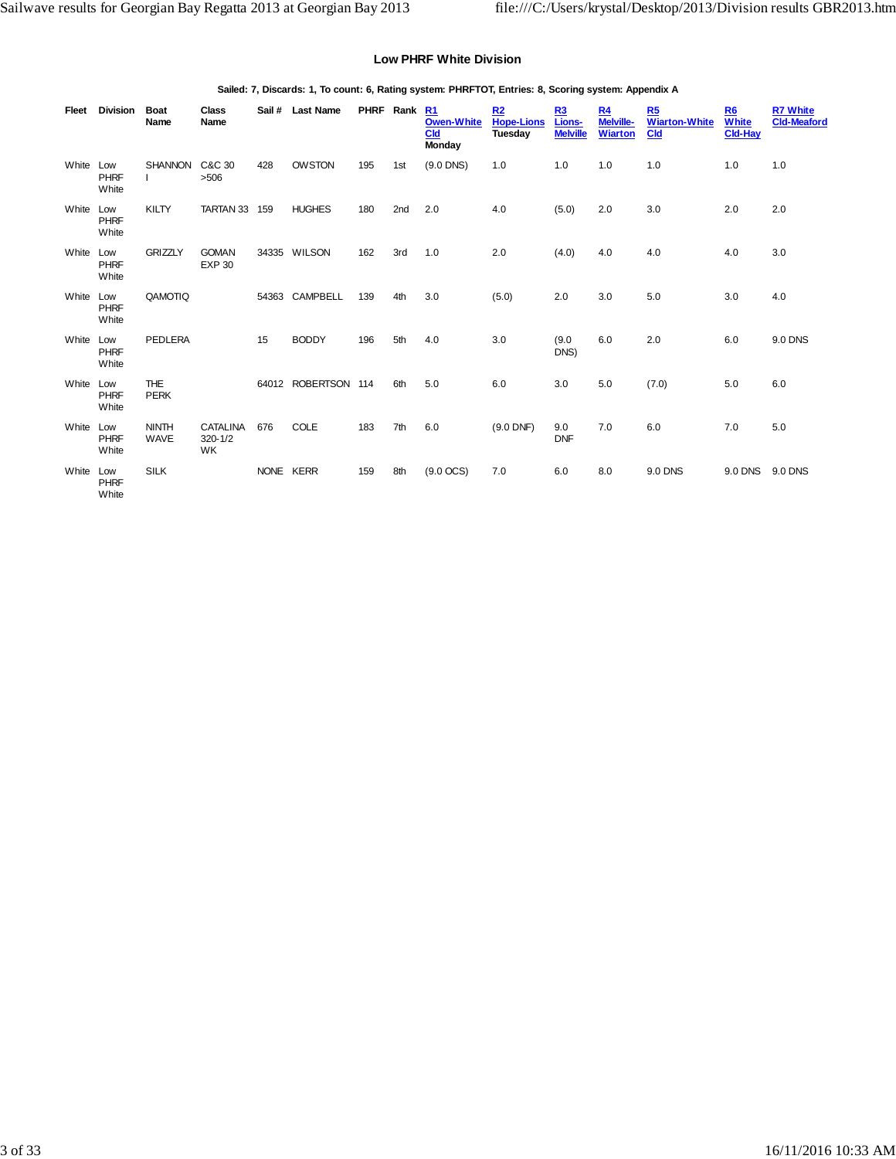### **Low PHRF White Division**

### **Sailed: 7, Discards: 1, To count: 6, Rating system: PHRFTOT, Entries: 8, Scoring system: Appendix A**

| Fleet     | Division                    | <b>Boat</b><br>Name         | <b>Class</b><br>Name                        | Sail #    | <b>Last Name</b>    | PHRF Rank R1 |                 | <b>Owen-White</b><br><b>Cld</b><br>Monday | R2<br><b>Hope-Lions</b><br>Tuesday | R3<br>Lions-<br><b>Melville</b> | <b>R4</b><br>Melville-<br><b>Wiarton</b> | R5<br><b>Wiarton-White</b><br>Cld | R <sub>6</sub><br><b>White</b><br><b>Cld-Hay</b> | <b>R7 White</b><br><b>Cld-Meaford</b> |
|-----------|-----------------------------|-----------------------------|---------------------------------------------|-----------|---------------------|--------------|-----------------|-------------------------------------------|------------------------------------|---------------------------------|------------------------------------------|-----------------------------------|--------------------------------------------------|---------------------------------------|
| White Low | <b>PHRF</b><br>White        | <b>SHANNON</b>              | C&C 30<br>>506                              | 428       | <b>OW STON</b>      | 195          | 1st             | $(9.0$ DNS)                               | 1.0                                | 1.0                             | 1.0                                      | 1.0                               | 1.0                                              | 1.0                                   |
| White     | Low<br><b>PHRF</b><br>White | KILTY                       | TARTAN 33 159                               |           | <b>HUGHES</b>       | 180          | 2 <sub>nd</sub> | 2.0                                       | 4.0                                | (5.0)                           | 2.0                                      | 3.0                               | 2.0                                              | 2.0                                   |
| White     | Low<br><b>PHRF</b><br>White | <b>GRIZZLY</b>              | <b>GOMAN</b><br><b>EXP 30</b>               |           | 34335 WILSON        | 162          | 3rd             | 1.0                                       | 2.0                                | (4.0)                           | 4.0                                      | 4.0                               | 4.0                                              | 3.0                                   |
| White     | Low<br><b>PHRF</b><br>White | QAMOTIQ                     |                                             |           | 54363 CAMPBELL      | 139          | 4th             | 3.0                                       | (5.0)                              | 2.0                             | 3.0                                      | 5.0                               | 3.0                                              | 4.0                                   |
| White     | Low<br><b>PHRF</b><br>White | <b>PEDLERA</b>              |                                             | 15        | <b>BODDY</b>        | 196          | 5th             | 4.0                                       | 3.0                                | (9.0)<br>DNS)                   | 6.0                                      | 2.0                               | 6.0                                              | 9.0 DNS                               |
| White     | Low<br><b>PHRF</b><br>White | <b>THE</b><br><b>PERK</b>   |                                             |           | 64012 ROBERTSON 114 |              | 6th             | 5.0                                       | 6.0                                | 3.0                             | 5.0                                      | (7.0)                             | 5.0                                              | 6.0                                   |
| White     | Low<br>PHRF<br>White        | <b>NINTH</b><br><b>WAVE</b> | <b>CATALINA</b><br>$320 - 1/2$<br><b>WK</b> | 676       | <b>COLE</b>         | 183          | 7th             | 6.0                                       | $(9.0$ DNF)                        | 9.0<br><b>DNF</b>               | 7.0                                      | 6.0                               | 7.0                                              | 5.0                                   |
| White Low | PHRF<br>White               | <b>SILK</b>                 |                                             | NONE KERR |                     | 159          | 8th             | $(9.0$ OCS)                               | 7.0                                | 6.0                             | 8.0                                      | 9.0 DNS                           | 9.0 DNS 9.0 DNS                                  |                                       |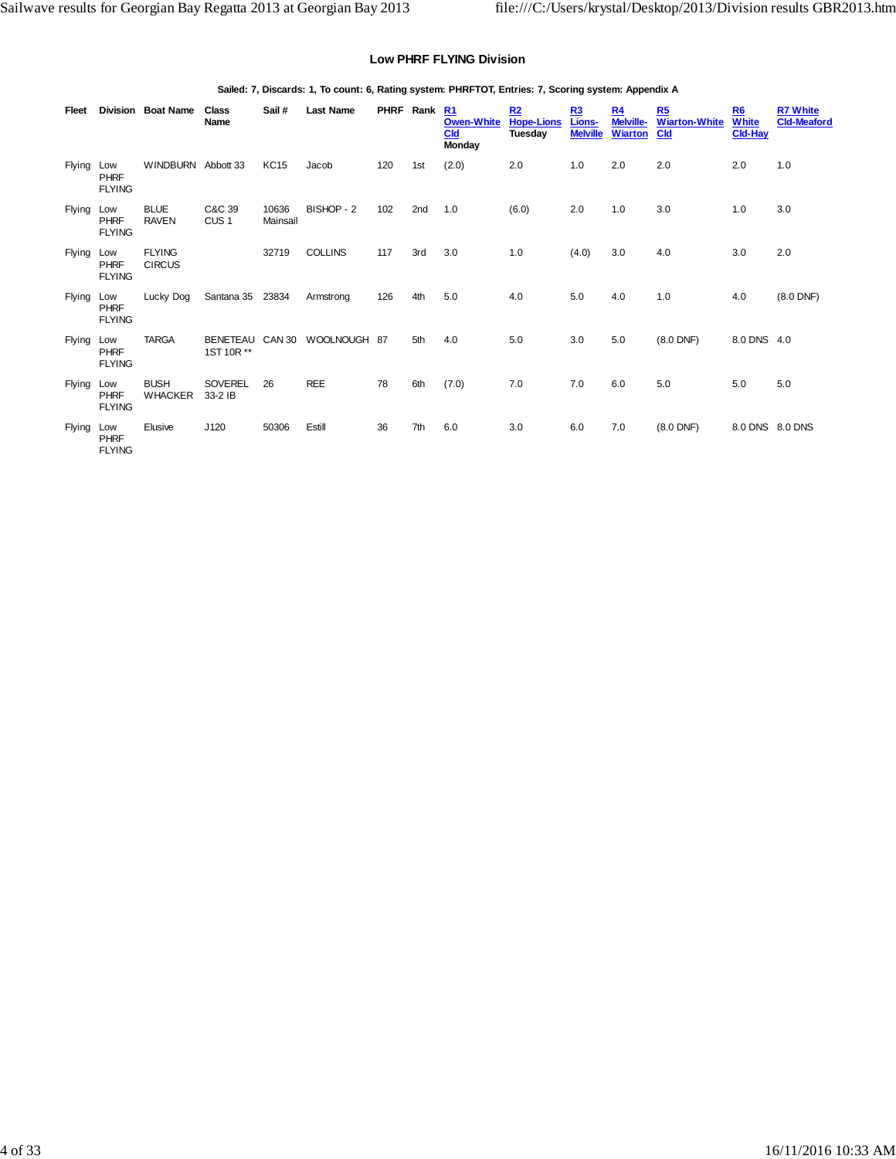### **Low PHRF FLYING Division**

### **Sailed: 7, Discards: 1, To count: 6, Rating system: PHRFTOT, Entries: 7, Scoring system: Appendix A**

| Fleet         |                                     | <b>Division Boat Name</b>      | <b>Class</b><br>Name          | Sail #            | <b>Last Name</b> |     | PHRF Rank       | R1<br><b>Owen-White</b><br><b>Cld</b><br>Monday | R2<br><b>Hope-Lions</b><br>Tuesday | R3<br>Lions-<br><b>Melville</b> | R <sub>4</sub><br><b>Melville-</b><br><b>Wiarton</b> | R5<br><b>Wiarton-White</b><br><b>Cld</b> | R6<br><b>White</b><br><b>Cld-Hay</b> | <b>R7 White</b><br><b>Cld-Meaford</b> |
|---------------|-------------------------------------|--------------------------------|-------------------------------|-------------------|------------------|-----|-----------------|-------------------------------------------------|------------------------------------|---------------------------------|------------------------------------------------------|------------------------------------------|--------------------------------------|---------------------------------------|
| Flying        | Low<br><b>PHRF</b><br><b>FLYING</b> | WINDBURN Abbott 33             |                               | <b>KC15</b>       | Jacob            | 120 | 1st             | (2.0)                                           | 2.0                                | 1.0                             | 2.0                                                  | 2.0                                      | 2.0                                  | 1.0                                   |
| Flying        | Low<br><b>PHRF</b><br><b>FLYING</b> | <b>BLUE</b><br><b>RAVEN</b>    | C&C 39<br>CUS <sub>1</sub>    | 10636<br>Mainsail | BISHOP - 2       | 102 | 2 <sub>nd</sub> | 1.0                                             | (6.0)                              | 2.0                             | 1.0                                                  | 3.0                                      | 1.0                                  | 3.0                                   |
| Flying        | Low<br><b>PHRF</b><br><b>FLYING</b> | <b>FLYING</b><br><b>CIRCUS</b> |                               | 32719             | <b>COLLINS</b>   | 117 | 3rd             | 3.0                                             | 1.0                                | (4.0)                           | 3.0                                                  | 4.0                                      | 3.0                                  | 2.0                                   |
| Flying        | Low<br><b>PHRF</b><br><b>FLYING</b> | Lucky Dog                      | Santana 35 23834              |                   | Armstrong        | 126 | 4th             | 5.0                                             | 4.0                                | 5.0                             | 4.0                                                  | 1.0                                      | 4.0                                  | $(8.0$ DNF)                           |
| Flying        | Low<br><b>PHRF</b><br><b>FLYING</b> | <b>TARGA</b>                   | <b>BENETEAU</b><br>1ST 10R ** | CAN 30            | WOOLNOUGH 87     |     | 5th             | 4.0                                             | 5.0                                | 3.0                             | 5.0                                                  | $(8.0$ DNF)                              | 8.0 DNS 4.0                          |                                       |
| Flying        | Low<br><b>PHRF</b><br><b>FLYING</b> | <b>BUSH</b><br><b>WHACKER</b>  | <b>SOVEREL</b><br>33-2 IB     | 26                | <b>REE</b>       | 78  | 6th             | (7.0)                                           | 7.0                                | 7.0                             | 6.0                                                  | 5.0                                      | 5.0                                  | 5.0                                   |
| <b>Flying</b> | Low<br><b>PHRF</b><br><b>FLYING</b> | Elusive                        | J120                          | 50306             | Estill           | 36  | 7th             | 6.0                                             | 3.0                                | 6.0                             | 7.0                                                  | $(8.0$ DNF)                              |                                      | 8.0 DNS 8.0 DNS                       |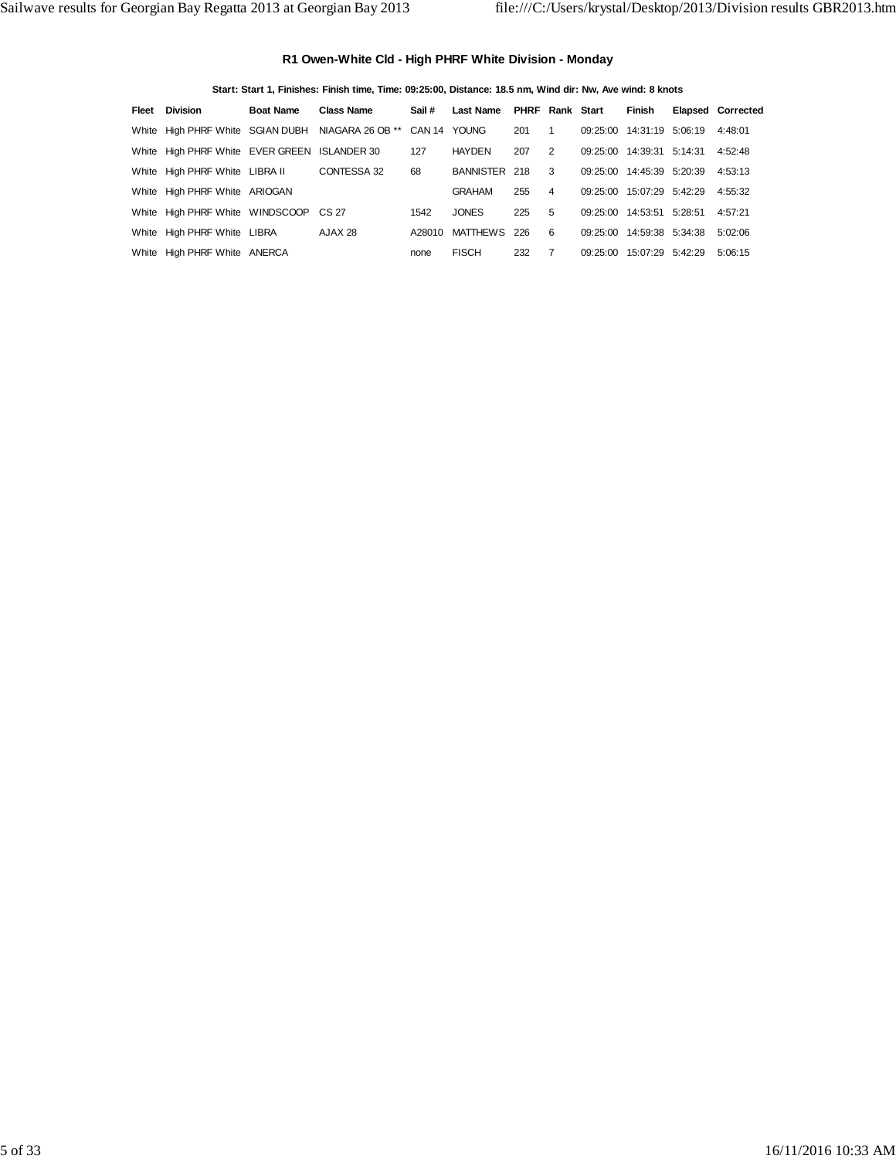### **R1 Owen-White Cld - High PHRF White Division - Monday**

**Start: Start 1, Finishes: Finish time, Time: 09:25:00, Distance: 18.5 nm, Wind dir: Nw, Ave wind: 8 knots**

| Fleet Division                               | <b>Boat Name</b> | <b>Class Name</b>             | Sail # | <b>Last Name</b> | <b>PHRF Rank Start</b> |                         | Finish                    | <b>Elapsed Corrected</b> |
|----------------------------------------------|------------------|-------------------------------|--------|------------------|------------------------|-------------------------|---------------------------|--------------------------|
| White High PHRF White SGIAN DUBH             |                  | NIAGARA 26 OB ** CAN 14 YOUNG |        |                  | 201                    | $\overline{1}$          | 09:25:00 14:31:19 5:06:19 | 4:48:01                  |
| White High PHRF White EVER GREEN ISLANDER 30 |                  |                               | 127    | HAYDEN           | 207                    | $\overline{2}$          | 09:25:00 14:39:31 5:14:31 | 4:52:48                  |
| White High PHRF White LIBRA II               |                  | CONTESSA 32                   | 68     | BANNISTER 218    |                        | $\overline{\mathbf{3}}$ | 09:25:00 14:45:39 5:20:39 | 4:53:13                  |
| White High PHRF White ARIOGAN                |                  |                               |        | <b>GRAHAM</b>    | 255                    | $\overline{4}$          | 09:25:00 15:07:29 5:42:29 | 4:55:32                  |
| White High PHRF White WINDSCOOP CS 27        |                  |                               | 1542   | <b>JONES</b>     | 225                    | 5                       | 09:25:00 14:53:51 5:28:51 | 4:57:21                  |
| White High PHRF White LIBRA                  |                  | AJAX 28                       | A28010 | MATTHEWS 226     |                        | - 6                     | 09:25:00 14:59:38 5:34:38 | 5:02:06                  |
| White High PHRF White ANERCA                 |                  |                               | none   | <b>FISCH</b>     | 232                    | $\overline{7}$          | 09:25:00 15:07:29 5:42:29 | 5:06:15                  |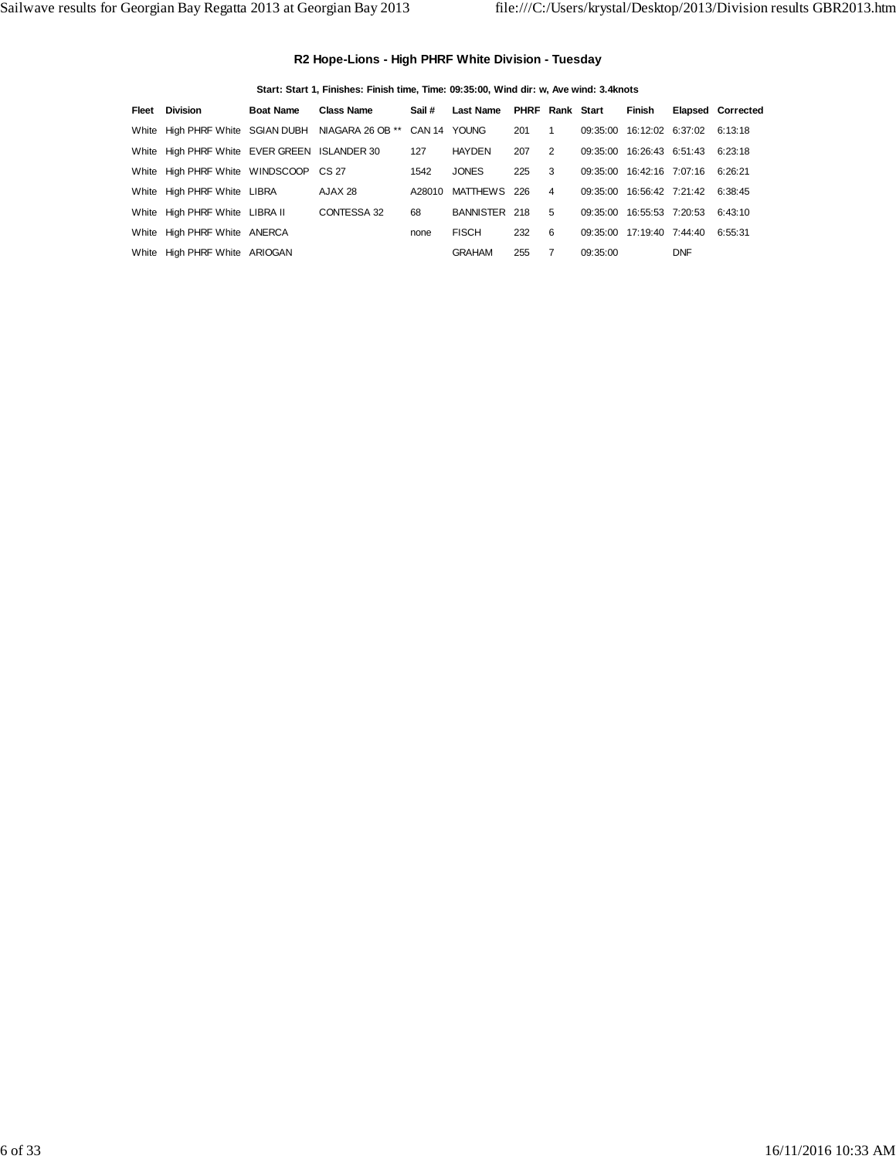### **R2 Hope-Lions - High PHRF White Division - Tuesday**

### **Start: Start 1, Finishes: Finish time, Time: 09:35:00, Wind dir: w, Ave wind: 3.4knots**

| <b>Fleet Division</b>                        | <b>Boat Name</b> | <b>Class Name</b>             | Sail # | Last Name PHRF Rank Start |     |                         |          | Finish                            |            | <b>Elapsed Corrected</b> |
|----------------------------------------------|------------------|-------------------------------|--------|---------------------------|-----|-------------------------|----------|-----------------------------------|------------|--------------------------|
| White High PHRF White SGIAN DUBH             |                  | NIAGARA 26 OB ** CAN 14 YOUNG |        |                           | 201 | $\overline{1}$          |          | 09:35:00 16:12:02 6:37:02         |            | 6:13:18                  |
| White High PHRF White EVER GREEN ISLANDER 30 |                  |                               | 127    | HAYDEN                    | 207 | $\overline{2}$          |          | 09:35:00 16:26:43 6:51:43 6:23:18 |            |                          |
| White High PHRF White WINDSCOOP CS 27        |                  |                               | 1542   | <b>JONES</b>              | 225 | $\overline{\mathbf{3}}$ |          | 09:35:00 16:42:16 7:07:16         |            | 6:26:21                  |
| White High PHRF White LIBRA                  |                  | AJAX 28                       |        | A28010 MATTHEWS 226       |     | $\overline{4}$          |          | 09:35:00 16:56:42 7:21:42 6:38:45 |            |                          |
| White High PHRF White LIBRA II               |                  | CONTESSA 32                   | 68     | BANNISTER 218 5           |     |                         |          | 09:35:00 16:55:53 7:20:53         |            | 6:43:10                  |
| White High PHRF White ANERCA                 |                  |                               | none   | <b>FISCH</b>              | 232 | -6                      |          | 09:35:00 17:19:40 7:44:40         |            | 6:55:31                  |
| White High PHRF White ARIOGAN                |                  |                               |        | <b>GRAHAM</b>             | 255 | $\overline{7}$          | 09:35:00 |                                   | <b>DNF</b> |                          |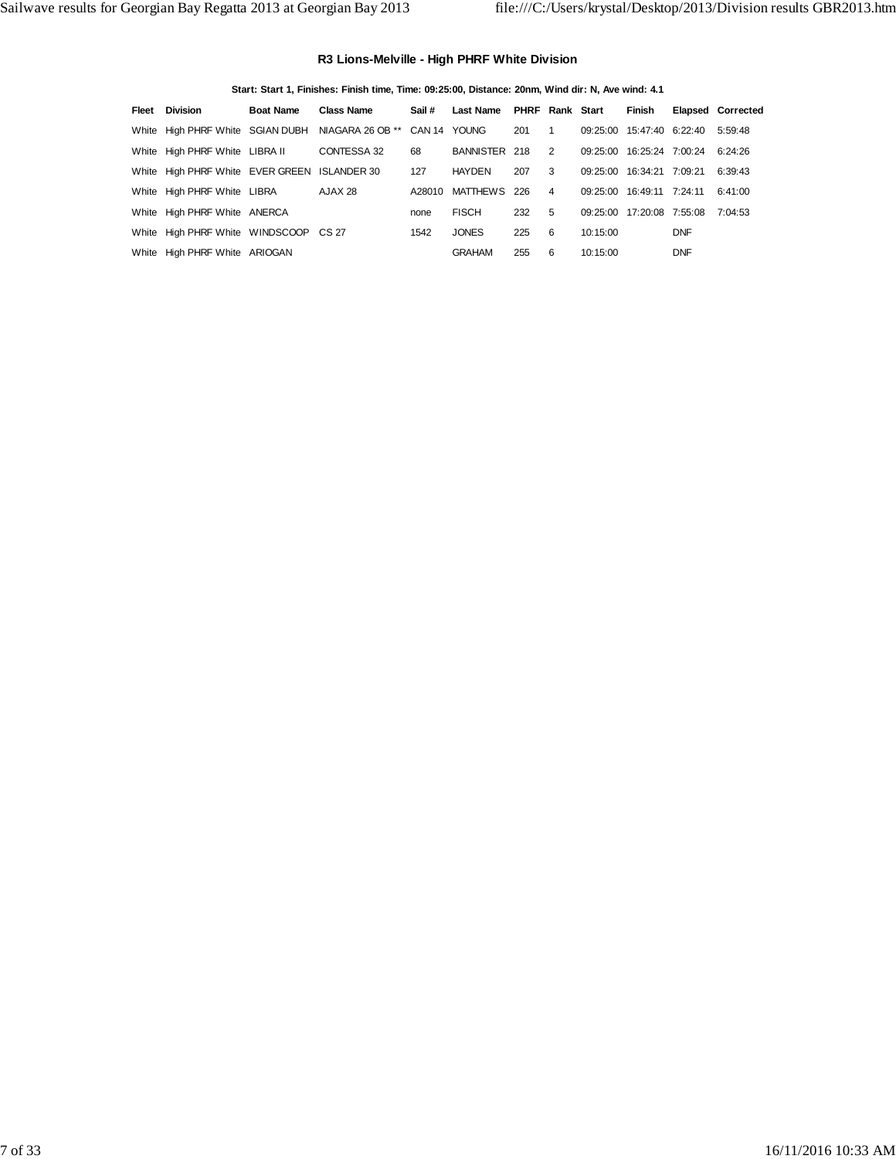### **R3 Lions-Melville - High PHRF White Division**

### **Start: Start 1, Finishes: Finish time, Time: 09:25:00, Distance: 20nm, Wind dir: N, Ave wind: 4.1**

| <b>Fleet Division</b>                 | <b>Boat Name</b> | <b>Class Name</b>                                              | Sail # | Last Name           | PHRF Rank Start |                         |          | Finish                            |            | <b>Elapsed Corrected</b> |
|---------------------------------------|------------------|----------------------------------------------------------------|--------|---------------------|-----------------|-------------------------|----------|-----------------------------------|------------|--------------------------|
|                                       |                  | White High PHRF White SGIAN DUBH NIAGARA 26 OB ** CAN 14 YOUNG |        |                     | 201             | $\sim$ 1                |          | 09:25:00 15:47:40 6:22:40 5:59:48 |            |                          |
| White High PHRF White LIBRA II        |                  | CONTESSA 32                                                    | 68     | BANNISTER 218 2     |                 |                         |          | 09:25:00 16:25:24 7:00:24 6:24:26 |            |                          |
|                                       |                  | White High PHRF White EVER GREEN ISLANDER 30 127               |        | HAYDEN              | 207             | $\overline{\mathbf{3}}$ |          | 09:25:00 16:34:21 7:09:21         |            | 6:39:43                  |
| White High PHRF White LIBRA           |                  | AJAX 28                                                        |        | A28010 MATTHEWS 226 |                 | $\overline{4}$          |          | 09:25:00 16:49:11 7:24:11         |            | 6:41:00                  |
| White High PHRF White ANERCA          |                  |                                                                | none   | <b>FISCH</b>        | 232             | 5                       |          | 09:25:00 17:20:08 7:55:08         |            | 7:04:53                  |
| White High PHRF White WINDSCOOP CS 27 |                  |                                                                | 1542   | <b>JONES</b>        | 225             | 6                       | 10:15:00 |                                   | <b>DNF</b> |                          |
| White High PHRF White ARIOGAN         |                  |                                                                |        | <b>GRAHAM</b>       | 255             | 6                       | 10:15:00 |                                   | <b>DNF</b> |                          |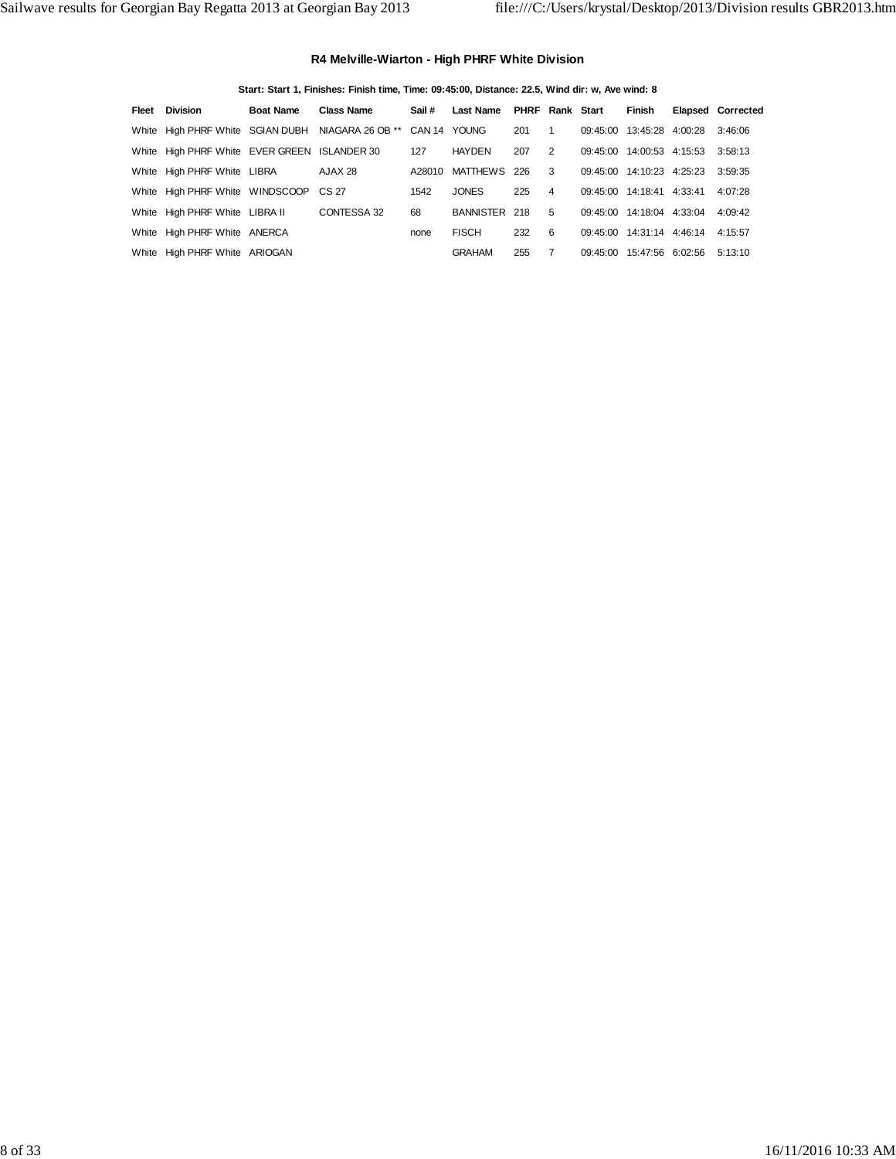### **R4 Melville-Wiarton - High PHRF White Division**

### **Start: Start 1, Finishes: Finish time, Time: 09:45:00, Distance: 22.5, Wind dir: w, Ave wind: 8**

| <b>Fleet</b> Division                        | <b>Boat Name</b> | <b>Class Name</b>                                              | Sail # | Last Name             | <b>PHRF Rank Start</b> |                | Finish                    | <b>Elapsed Corrected</b> |
|----------------------------------------------|------------------|----------------------------------------------------------------|--------|-----------------------|------------------------|----------------|---------------------------|--------------------------|
|                                              |                  | White High PHRF White SGIAN DUBH NIAGARA 26 OB ** CAN 14 YOUNG |        | 201                   |                        | $\overline{1}$ | 09:45:00 13:45:28 4:00:28 | 3:46:06                  |
| White High PHRF White EVER GREEN ISLANDER 30 |                  |                                                                | 127    | HAYDEN                | 207                    | 2              | 09:45:00 14:00:53 4:15:53 | 3:58:13                  |
| White High PHRF White LIBRA                  |                  | AJAX 28                                                        |        | A28010 MATTHEWS 226 3 |                        |                | 09:45:00 14:10:23 4:25:23 | 3:59:35                  |
| White High PHRF White WINDSCOOP CS 27        |                  |                                                                | 1542   | <b>JONES</b>          | 225                    | $\overline{4}$ | 09:45:00 14:18:41 4:33:41 | 4:07:28                  |
| White High PHRF White LIBRA II               |                  | CONTESSA 32                                                    | 68     | BANNISTER 218         |                        | 5 <sup>5</sup> | 09:45:00 14:18:04 4:33:04 | 4:09:42                  |
| White High PHRF White ANERCA                 |                  |                                                                | none   | <b>FISCH</b>          | 232                    | 6              | 09:45:00 14:31:14 4:46:14 | 4:15:57                  |
| White High PHRF White ARIOGAN                |                  |                                                                |        | <b>GRAHAM</b>         | 255                    | $\overline{7}$ | 09:45:00 15:47:56 6:02:56 | 5:13:10                  |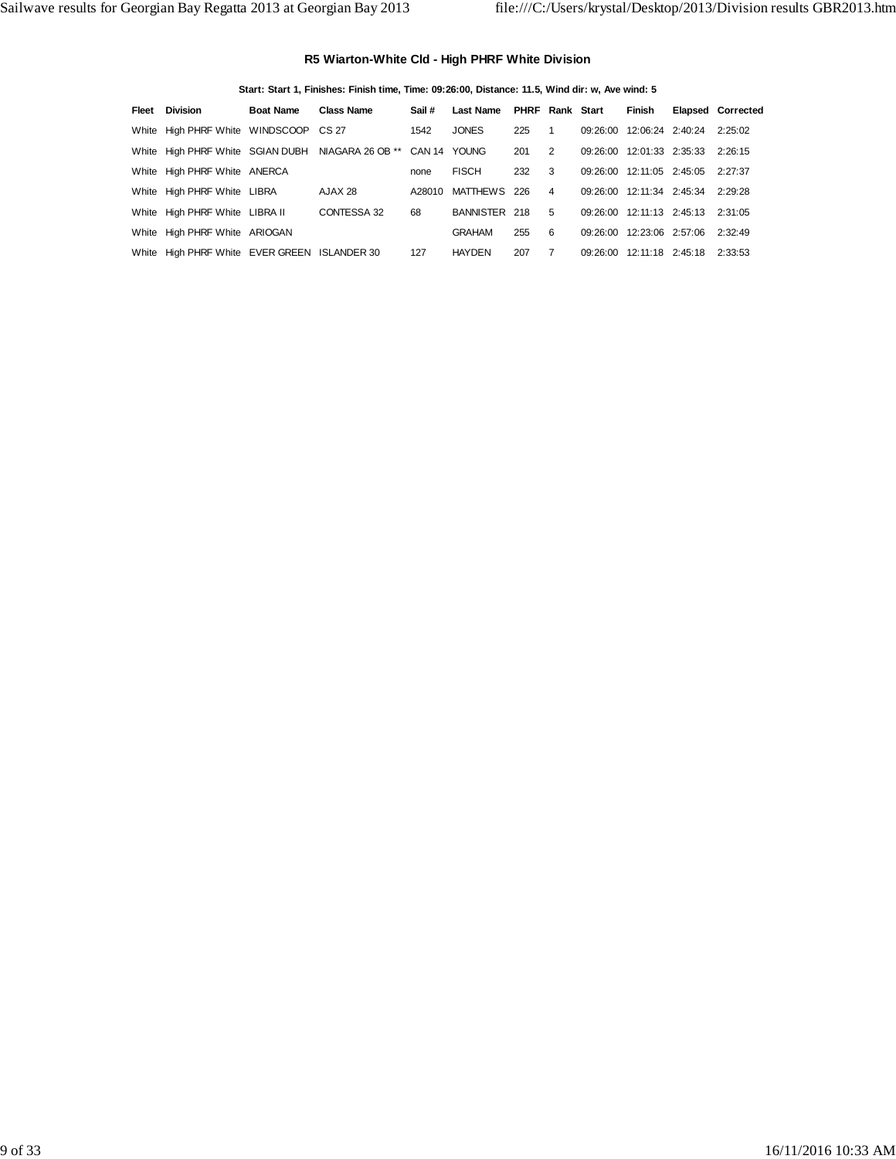### **R5 Wiarton-White Cld - High PHRF White Division**

### **Start: Start 1, Finishes: Finish time, Time: 09:26:00, Distance: 11.5, Wind dir: w, Ave wind: 5**

| <b>Fleet</b> Division                        | <b>Boat Name</b> | <b>Class Name</b>                                              | Sail # | <b>Last Name</b>    | <b>PHRF Rank Start</b> |                | Finish                            | <b>Elapsed Corrected</b> |
|----------------------------------------------|------------------|----------------------------------------------------------------|--------|---------------------|------------------------|----------------|-----------------------------------|--------------------------|
| White High PHRF White WINDSCOOP CS 27        |                  |                                                                | 1542   | <b>JONES</b>        | 225                    | $\overline{1}$ | 09:26:00 12:06:24 2:40:24         | 2:25:02                  |
|                                              |                  | White High PHRF White SGIAN DUBH NIAGARA 26 OB ** CAN 14 YOUNG |        |                     | 201                    | $\overline{2}$ | 09:26:00 12:01:33 2:35:33 2:26:15 |                          |
| White High PHRF White ANERCA                 |                  |                                                                | none   | <b>FISCH</b>        | 232                    | 3              | 09:26:00 12:11:05 2:45:05         | 2:27:37                  |
| White High PHRF White LIBRA                  |                  | AJAX 28                                                        |        | A28010 MATTHEWS 226 |                        | $\overline{4}$ | 09:26:00 12:11:34 2:45:34         | 2:29:28                  |
| White High PHRF White LIBRA II               |                  | CONTESSA 32                                                    | 68     | BANNISTER 218       |                        | 5 <sup>5</sup> | 09:26:00 12:11:13 2:45:13         | 2:31:05                  |
| White High PHRF White ARIOGAN                |                  |                                                                |        | <b>GRAHAM</b>       | 255                    | 6              | 09:26:00 12:23:06 2:57:06         | 2:32:49                  |
| White High PHRF White EVER GREEN ISLANDER 30 |                  |                                                                | 127    | HAYDEN              | 207                    | $\overline{7}$ | 09:26:00 12:11:18 2:45:18         | 2:33:53                  |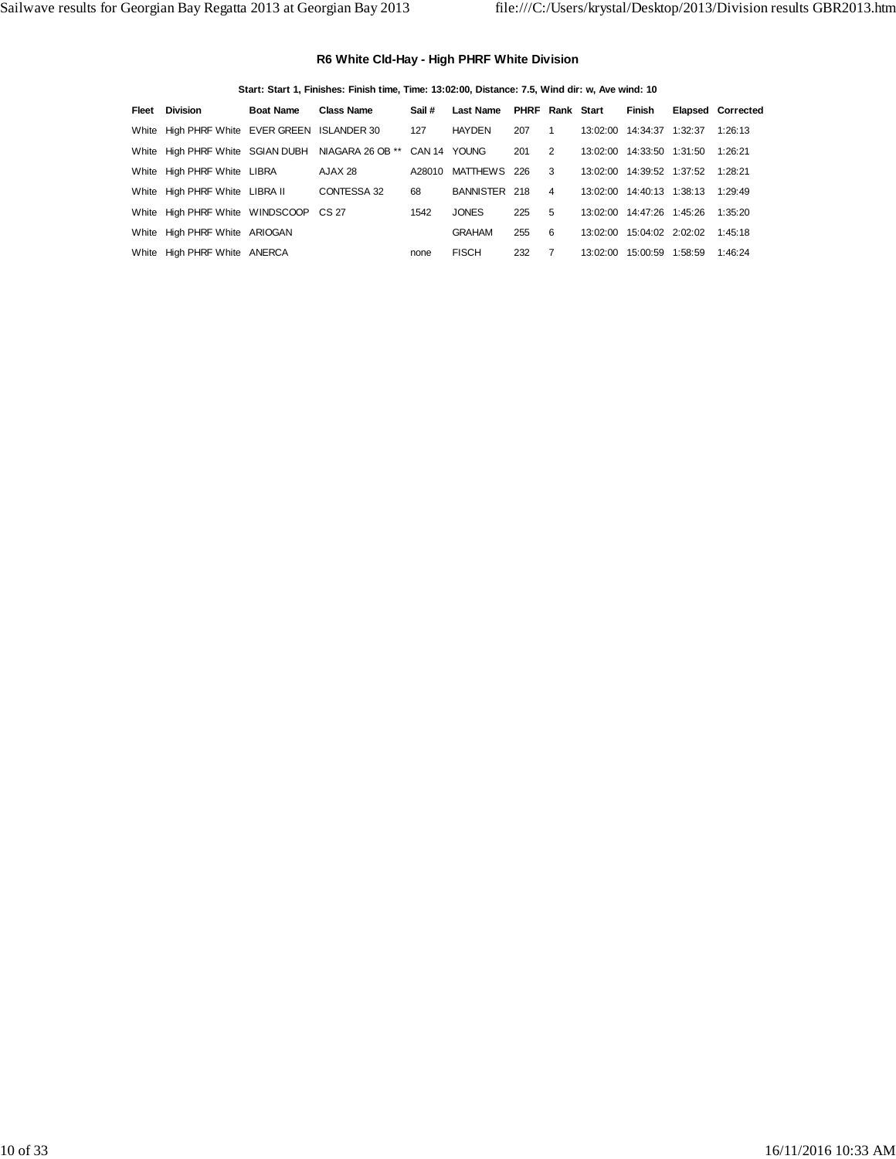### **R6 White Cld-Hay - High PHRF White Division**

**Start: Start 1, Finishes: Finish time, Time: 13:02:00, Distance: 7.5, Wind dir: w, Ave wind: 10**

| <b>Fleet</b> Division                        | <b>Boat Name</b> | <b>Class Name</b>                                              | Sail # | Last Name             | PHRF Rank Start |                | Finish                      | <b>Elapsed Corrected</b> |
|----------------------------------------------|------------------|----------------------------------------------------------------|--------|-----------------------|-----------------|----------------|-----------------------------|--------------------------|
| White High PHRF White EVER GREEN ISLANDER 30 |                  |                                                                | 127    | HAYDEN                | 207             | $\overline{1}$ | 13:02:00 14:34:37 1:32:37   | 1:26:13                  |
|                                              |                  | White High PHRF White SGIAN DUBH NIAGARA 26 OB ** CAN 14 YOUNG |        |                       | 201             | $\overline{2}$ | 13:02:00  14:33:50  1:31:50 | 1:26:21                  |
| White High PHRF White LIBRA                  |                  | AJAX 28                                                        |        | A28010 MATTHEWS 226 3 |                 |                | 13:02:00 14:39:52 1:37:52   | 1:28:21                  |
| White High PHRF White LIBRA II               |                  | CONTESSA 32                                                    | 68     | BANNISTER 218         |                 | $\overline{4}$ | 13:02:00 14:40:13 1:38:13   | 1:29:49                  |
| White High PHRF White WINDSCOOP CS 27        |                  |                                                                | 1542   | <b>JONES</b>          | 225             | 5              | 13:02:00 14:47:26 1:45:26   | 1:35:20                  |
| White High PHRF White ARIOGAN                |                  |                                                                |        | <b>GRAHAM</b>         | 255             | 6              | 13:02:00  15:04:02  2:02:02 | 1:45:18                  |
| White High PHRF White ANERCA                 |                  |                                                                | none   | <b>FISCH</b>          | 232             | $\overline{7}$ | 13:02:00  15:00:59  1:58:59 | 1:46:24                  |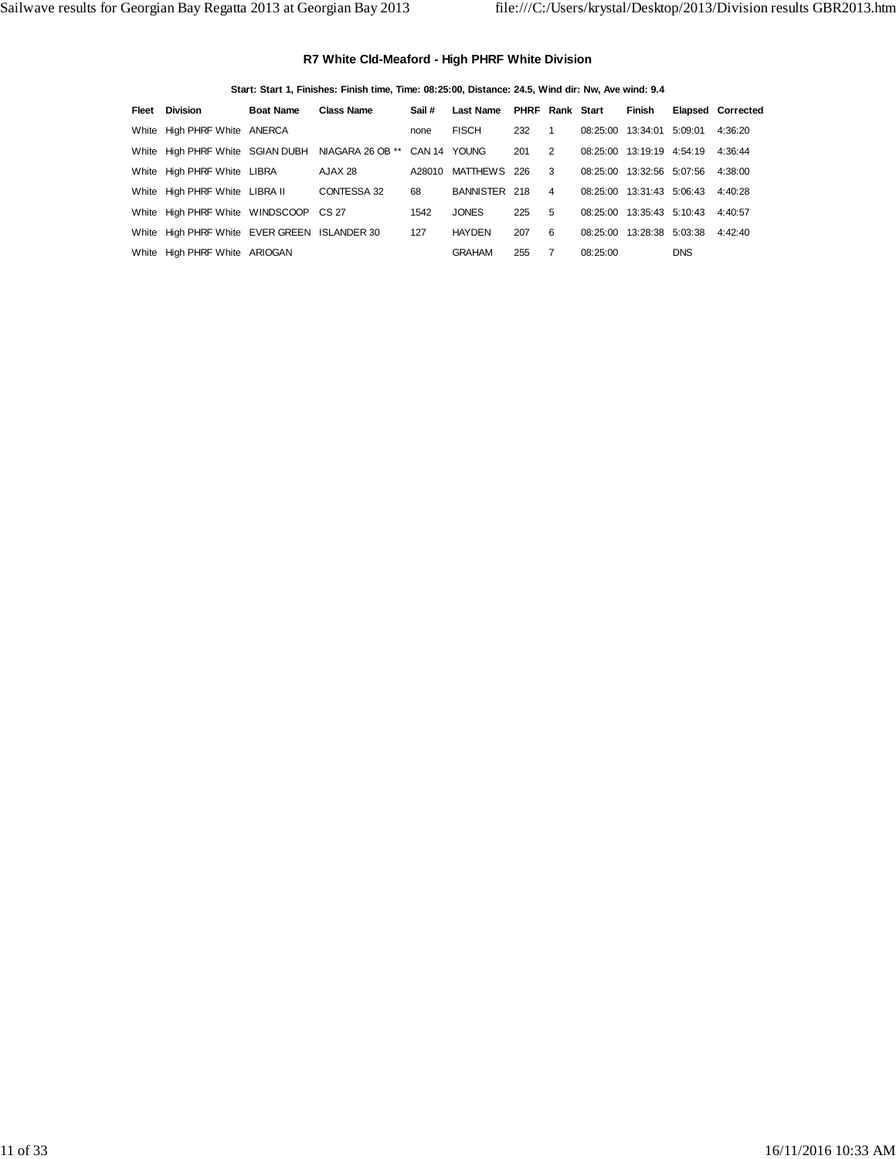### **R7 White Cld-Meaford - High PHRF White Division**

### **Start: Start 1, Finishes: Finish time, Time: 08:25:00, Distance: 24.5, Wind dir: Nw, Ave wind: 9.4**

| <b>Fleet</b> Division                        | <b>Boat Name</b> | <b>Class Name</b>                                              | Sail # | Last Name             | <b>PHRF Rank Start</b> |                |          | Finish                    |            | <b>Elapsed Corrected</b> |
|----------------------------------------------|------------------|----------------------------------------------------------------|--------|-----------------------|------------------------|----------------|----------|---------------------------|------------|--------------------------|
| White High PHRF White ANERCA                 |                  |                                                                | none   | FISCH                 | 232                    | $\overline{1}$ |          | 08:25:00 13:34:01 5:09:01 |            | 4:36:20                  |
|                                              |                  | White High PHRF White SGIAN DUBH NIAGARA 26 OB ** CAN 14 YOUNG |        |                       | 201                    | $\overline{2}$ |          | 08:25:00 13:19:19 4:54:19 |            | 4:36:44                  |
| White High PHRF White LIBRA                  |                  | AJAX 28                                                        |        | A28010 MATTHEWS 226 3 |                        |                |          | 08:25:00 13:32:56 5:07:56 |            | 4:38:00                  |
| White High PHRF White LIBRA II               |                  | CONTESSA 32                                                    | 68     | BANNISTER 218         |                        | $\overline{4}$ |          | 08:25:00 13:31:43 5:06:43 |            | 4:40:28                  |
| White High PHRF White WINDSCOOP CS 27        |                  |                                                                | 1542   | <b>JONES</b>          | 225                    | 5              |          | 08:25:00 13:35:43 5:10:43 |            | 4:40:57                  |
| White High PHRF White EVER GREEN ISLANDER 30 |                  |                                                                | 127    | HAYDEN                | 207                    | 6              |          | 08:25:00 13:28:38 5:03:38 |            | 4:42:40                  |
| White High PHRF White ARIOGAN                |                  |                                                                |        | <b>GRAHAM</b>         | 255                    | $\overline{7}$ | 08:25:00 |                           | <b>DNS</b> |                          |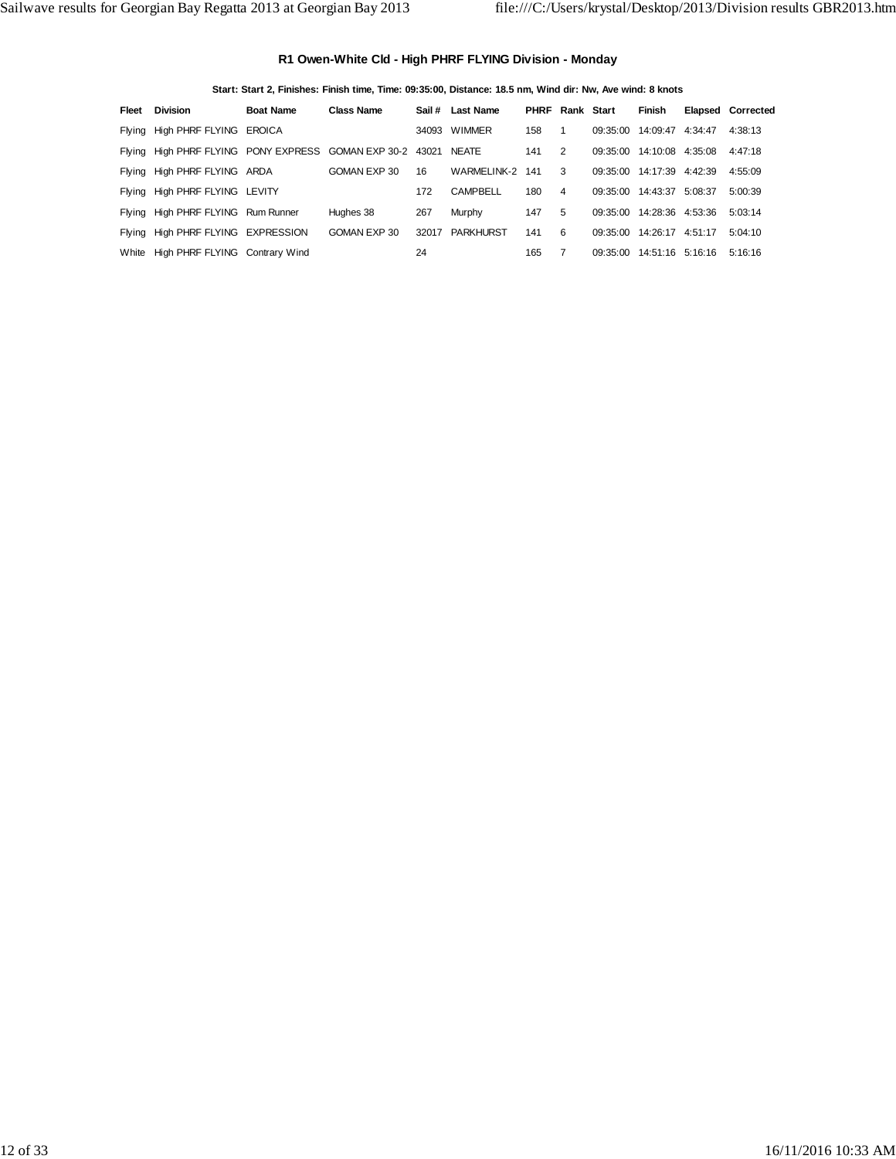### **R1 Owen-White Cld - High PHRF FLYING Division - Monday**

**Start: Start 2, Finishes: Finish time, Time: 09:35:00, Distance: 18.5 nm, Wind dir: Nw, Ave wind: 8 knots**

| Fleet | Division                                                        | <b>Boat Name</b> | <b>Class Name</b> |       | Sail # Last Name | <b>PHRF Rank Start</b> |   |                           | Finish                    |         | <b>Elapsed Corrected</b> |
|-------|-----------------------------------------------------------------|------------------|-------------------|-------|------------------|------------------------|---|---------------------------|---------------------------|---------|--------------------------|
|       | Flying High PHRF FLYING EROICA                                  |                  |                   | 34093 | WIMMER           | 158                    | 1 |                           | 09:35:00 14:09:47         | 4:34:47 | 4:38:13                  |
|       | Flying High PHRF FLYING PONY EXPRESS GOMAN EXP 30-2 43021 NEATE |                  |                   |       |                  | 141                    | 2 |                           | 09:35:00 14:10:08 4:35:08 |         | 4:47:18                  |
|       | Flying High PHRF FLYING ARDA                                    |                  | GOMAN EXP 30      | 16    | WARMELINK-2 141  |                        | 3 | 09:35:00 14:17:39 4:42:39 |                           |         | 4:55:09                  |
|       | Flying High PHRF FLYING LEVITY                                  |                  |                   | 172   | CAMPBELL         | 180                    | 4 |                           | 09:35:00 14:43:37 5:08:37 |         | 5:00:39                  |
|       | Flying High PHRF FLYING Rum Runner                              |                  | Hughes 38         | 267   | Murphy           | 147                    | 5 |                           | 09:35:00 14:28:36 4:53:36 |         | 5:03:14                  |
|       | Flying High PHRF FLYING EXPRESSION                              |                  | GOMAN EXP 30      | 32017 | PARKHURST        | 141                    | 6 |                           | 09:35:00 14:26:17         | 4:51:17 | 5:04:10                  |
|       | White High PHRF FLYING Contrary Wind                            |                  |                   | 24    |                  | 165                    |   |                           | 09:35:00 14:51:16 5:16:16 |         | 5:16:16                  |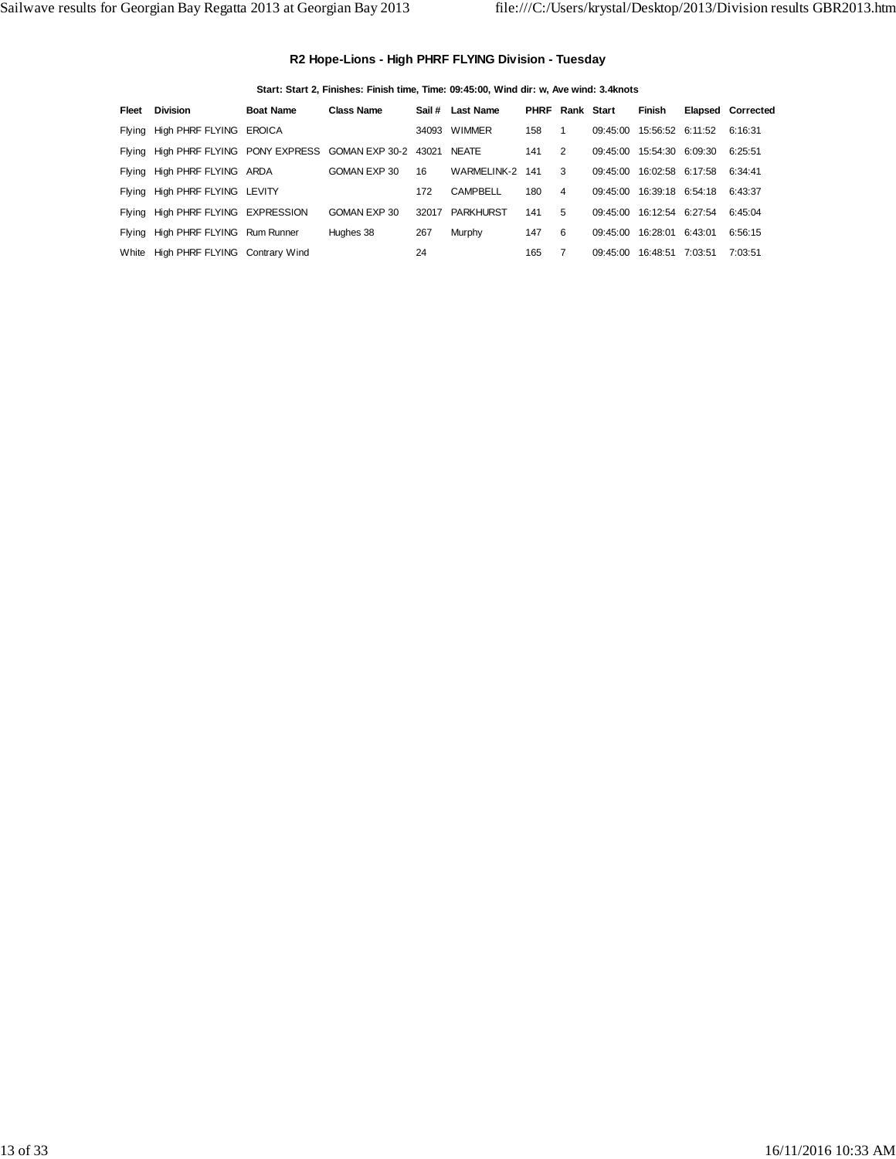### **R2 Hope-Lions - High PHRF FLYING Division - Tuesday**

### **Start: Start 2, Finishes: Finish time, Time: 09:45:00, Wind dir: w, Ave wind: 3.4knots**

| Fleet | <b>Division</b>                                                 | <b>Boat Name</b> | <b>Class Name</b> |       | Sail # Last Name | <b>PHRF Rank Start</b> |                | Finish                    | <b>Elapsed Corrected</b> |
|-------|-----------------------------------------------------------------|------------------|-------------------|-------|------------------|------------------------|----------------|---------------------------|--------------------------|
|       | Flying High PHRF FLYING EROICA                                  |                  |                   | 34093 | <b>WIMMER</b>    | 158                    | $\mathbf{1}$   | 09:45:00 15:56:52 6:11:52 | 6:16:31                  |
|       | Flying High PHRF FLYING PONY EXPRESS GOMAN EXP 30-2 43021 NEATE |                  |                   |       |                  | 141                    | 2              | 09:45:00 15:54:30 6:09:30 | 6:25:51                  |
|       | Flying High PHRF FLYING ARDA                                    |                  | GOMAN EXP 30      | 16    | WARMELINK-2 141  |                        | -3             | 09:45:00 16:02:58 6:17:58 | 6:34:41                  |
|       | Flying High PHRF FLYING LEVITY                                  |                  |                   | 172   | CAMPBELL         | 180                    | $\overline{4}$ | 09:45:00 16:39:18 6:54:18 | 6:43:37                  |
|       | Flying High PHRF FLYING EXPRESSION                              |                  | GOMAN EXP 30      | 32017 | PARKHURST        | 141                    | 5              | 09:45:00 16:12:54 6:27:54 | 6:45:04                  |
|       | Flying High PHRF FLYING Rum Runner                              |                  | Hughes 38         | 267   | Murphy           | 147                    | 6              | 09:45:00 16:28:01 6:43:01 | 6:56:15                  |
|       | White High PHRF FLYING Contrary Wind                            |                  |                   | 24    |                  | 165                    |                | 09:45:00 16:48:51 7:03:51 | 7:03:51                  |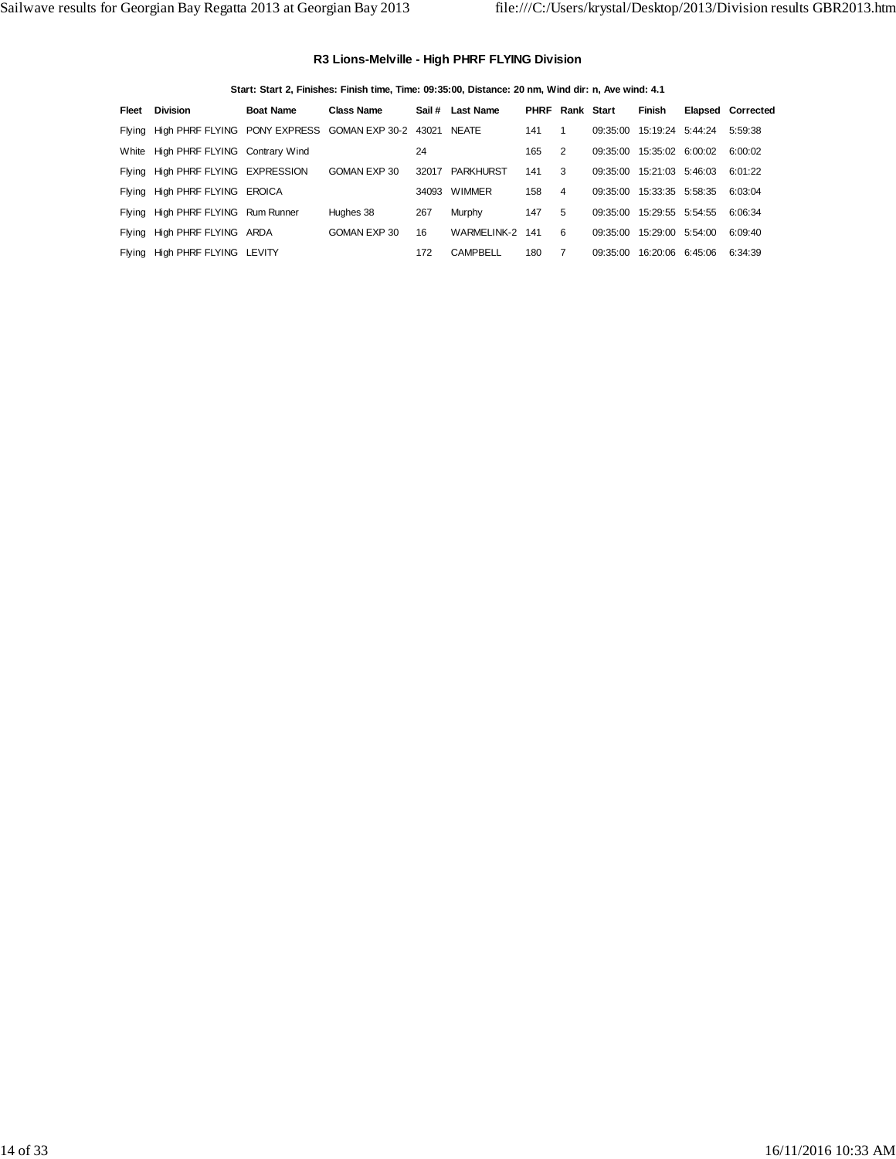### **R3 Lions-Melville - High PHRF FLYING Division**

### **Start: Start 2, Finishes: Finish time, Time: 09:35:00, Distance: 20 nm, Wind dir: n, Ave wind: 4.1**

| Fleet  | <b>Division</b>                                           | <b>Boat Name</b> | <b>Class Name</b> |       | Sail # Last Name | <b>PHRF Rank Start</b> |                |          | Finish                    | <b>Elapsed Corrected</b> |
|--------|-----------------------------------------------------------|------------------|-------------------|-------|------------------|------------------------|----------------|----------|---------------------------|--------------------------|
|        | Flying High PHRF FLYING PONY EXPRESS GOMAN EXP 30-2 43021 |                  |                   |       | NEATE            | 141                    |                |          | 09:35:00 15:19:24 5:44:24 | 5:59:38                  |
|        | White High PHRF FLYING Contrary Wind                      |                  |                   | 24    |                  | 165                    | $\overline{2}$ |          | 09:35:00 15:35:02 6:00:02 | 6:00:02                  |
|        | Flying High PHRF FLYING EXPRESSION                        |                  | GOMAN EXP 30      | 32017 | <b>PARKHURST</b> | 141                    | 3              |          | 09:35:00 15:21:03 5:46:03 | 6:01:22                  |
|        | Flying High PHRF FLYING EROICA                            |                  |                   | 34093 | <b>WIMMER</b>    | 158                    | 4              |          | 09:35:00 15:33:35 5:58:35 | 6:03:04                  |
|        | Flying High PHRF FLYING Rum Runner                        |                  | Hughes 38         | 267   | Murphy           | 147                    | 5              |          | 09:35:00 15:29:55 5:54:55 | 6:06:34                  |
|        | Flying High PHRF FLYING ARDA                              |                  | GOMAN EXP 30      | 16    | WARMELINK-2 141  |                        | 6              | 09:35:00 | 15:29:00 5:54:00          | 6:09:40                  |
| Flying | High PHRF FLYING LEVITY                                   |                  |                   | 172   | <b>CAMPBELL</b>  | 180                    | 7              | 09:35:00 | 16:20:06 6:45:06          | 6:34:39                  |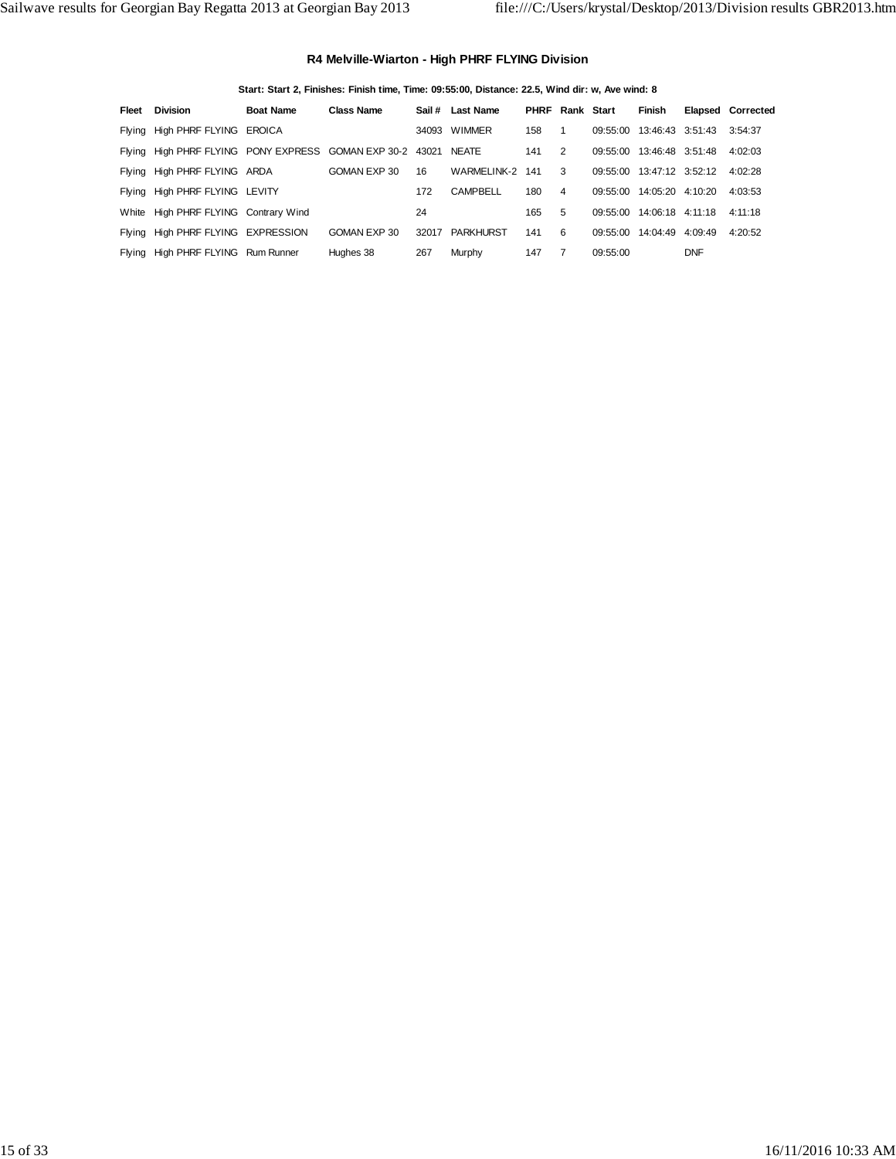## **R4 Melville-Wiarton - High PHRF FLYING Division**

| Fleet | <b>Division</b>                                           | <b>Boat Name</b> | <b>Class Name</b> |       | Sail # Last Name | <b>PHRF Rank Start</b> |              |          | Finish                    |            | <b>Elapsed Corrected</b> |
|-------|-----------------------------------------------------------|------------------|-------------------|-------|------------------|------------------------|--------------|----------|---------------------------|------------|--------------------------|
|       | Flying High PHRF FLYING EROICA                            |                  |                   | 34093 | WIMMER           | 158                    | $\mathbf{1}$ |          | 09:55:00 13:46:43 3:51:43 |            | 3:54:37                  |
|       | Flying High PHRF FLYING PONY EXPRESS GOMAN EXP 30-2 43021 |                  |                   |       | <b>NEATE</b>     | 141                    | 2            |          | 09:55:00 13:46:48 3:51:48 |            | 4:02:03                  |
|       | Flying High PHRF FLYING ARDA                              |                  | GOMAN EXP 30      | 16    | WARMELINK-2 141  |                        | 3            |          | 09:55:00 13:47:12 3:52:12 |            | 4:02:28                  |
|       | Flying High PHRF FLYING LEVITY                            |                  |                   | 172   | <b>CAMPBELL</b>  | 180                    | 4            |          | 09:55:00 14:05:20 4:10:20 |            | 4:03:53                  |
|       | White High PHRF FLYING Contrary Wind                      |                  |                   | 24    |                  | 165                    | 5            |          | 09:55:00 14:06:18 4:11:18 |            | 4:11:18                  |
|       | Flying High PHRF FLYING EXPRESSION                        |                  | GOMAN EXP 30      | 32017 | PARKHURST        | 141                    | 6            |          | 09:55:00 14:04:49 4:09:49 |            | 4:20:52                  |
|       | Flying High PHRF FLYING Rum Runner                        |                  | Hughes 38         | 267   | Murphy           | 147                    |              | 09:55:00 |                           | <b>DNF</b> |                          |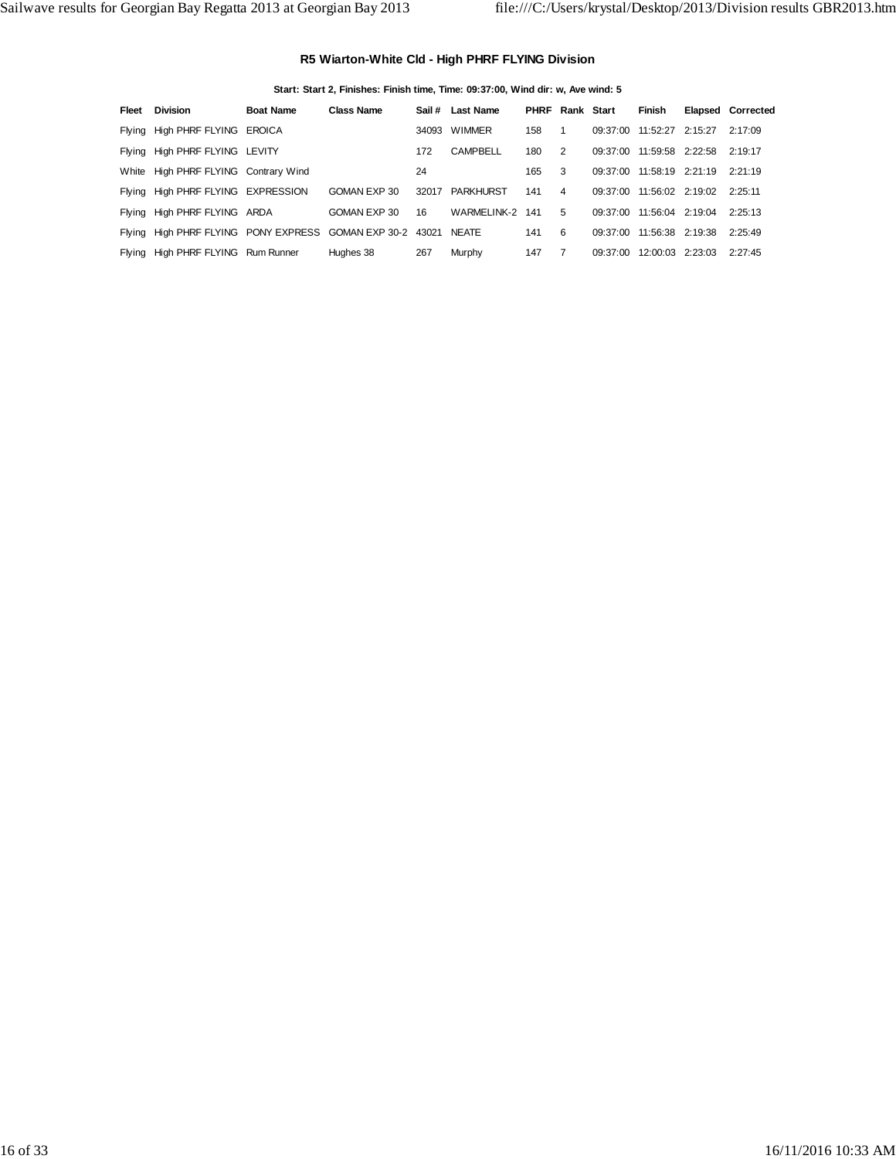### **R5 Wiarton-White Cld - High PHRF FLYING Division**

### **Start: Start 2, Finishes: Finish time, Time: 09:37:00, Wind dir: w, Ave wind: 5**

| Fleet | Division                                                        | <b>Boat Name</b> | <b>Class Name</b> |       | Sail # Last Name | <b>PHRF Rank Start</b> |                | Finish                            | <b>Elapsed Corrected</b> |
|-------|-----------------------------------------------------------------|------------------|-------------------|-------|------------------|------------------------|----------------|-----------------------------------|--------------------------|
|       | Flying High PHRF FLYING EROICA                                  |                  |                   | 34093 | <b>WIMMER</b>    | 158                    | $\mathbf{1}$   | 09:37:00 11:52:27 2:15:27         | 2:17:09                  |
|       | Flying High PHRF FLYING LEVITY                                  |                  |                   | 172   | CAMPBELL         | 180                    | 2              | 09:37:00 11:59:58 2:22:58 2:19:17 |                          |
|       | White High PHRF FLYING Contrary Wind                            |                  |                   | 24    |                  | 165                    | 3              | 09:37:00 11:58:19 2:21:19         | 2:21:19                  |
|       | Flying High PHRF FLYING EXPRESSION                              |                  | GOMAN EXP 30      | 32017 | PARKHURST        | 141                    | $\overline{4}$ | 09:37:00 11:56:02 2:19:02 2:25:11 |                          |
|       | Flying High PHRF FLYING ARDA                                    |                  | GOMAN EXP 30      | 16    | WARMELINK-2      | 141                    | 5              | 09:37:00 11:56:04 2:19:04         | 2:25:13                  |
|       | Flying High PHRF FLYING PONY EXPRESS GOMAN EXP 30-2 43021 NEATE |                  |                   |       |                  | 141                    | 6              | 09:37:00 11:56:38 2:19:38         | 2:25:49                  |
|       | Flying High PHRF FLYING Rum Runner                              |                  | Hughes 38         | 267   | Murphy           | 147                    | 7              | 09:37:00 12:00:03 2:23:03 2:27:45 |                          |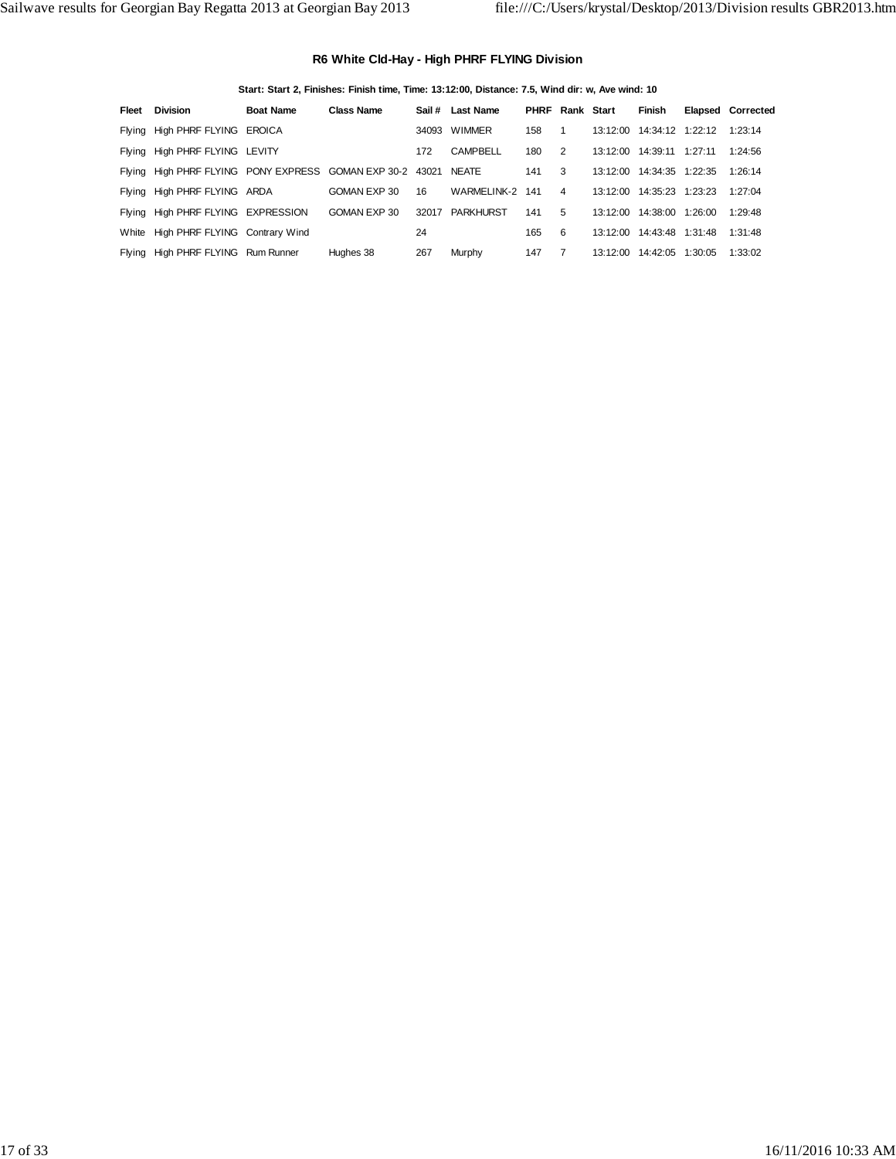### **R6 White Cld-Hay - High PHRF FLYING Division**

**Start: Start 2, Finishes: Finish time, Time: 13:12:00, Distance: 7.5, Wind dir: w, Ave wind: 10**

| Fleet | Division                                                        | <b>Boat Name</b> | <b>Class Name</b> |       | Sail # Last Name | <b>PHRF Rank Start</b> |                | Finish                      | <b>Elapsed Corrected</b> |
|-------|-----------------------------------------------------------------|------------------|-------------------|-------|------------------|------------------------|----------------|-----------------------------|--------------------------|
|       | Flying High PHRF FLYING EROICA                                  |                  |                   | 34093 | <b>WIMMER</b>    | 158                    | $\overline{1}$ | 13:12:00  14:34:12  1:22:12 | 1:23:14                  |
|       | Flying High PHRF FLYING LEVITY                                  |                  |                   | 172   | CAMPBELL         | 180                    | 2              | 13:12:00  14:39:11  1:27:11 | 1:24:56                  |
|       | Flying High PHRF FLYING PONY EXPRESS GOMAN EXP 30-2 43021 NEATE |                  |                   |       |                  | 141                    | 3              | 13:12:00 14:34:35 1:22:35   | 1:26:14                  |
|       | Flying High PHRF FLYING ARDA                                    |                  | GOMAN EXP 30      | 16    | WARMELINK-2 141  |                        | $\overline{4}$ | 13:12:00 14:35:23 1:23:23   | 1:27:04                  |
|       | Flying High PHRF FLYING EXPRESSION                              |                  | GOMAN EXP 30      | 32017 | PARKHURST        | 141                    | 5              | 13:12:00 14:38:00 1:26:00   | 1:29:48                  |
|       | White High PHRF FLYING Contrary Wind                            |                  |                   | 24    |                  | 165                    | 6              | 13:12:00 14:43:48 1:31:48   | 1:31:48                  |
|       | Flying High PHRF FLYING Rum Runner                              |                  | Hughes 38         | 267   | Murphy           | 147                    | $\overline{7}$ | 13:12:00  14:42:05  1:30:05 | 1:33:02                  |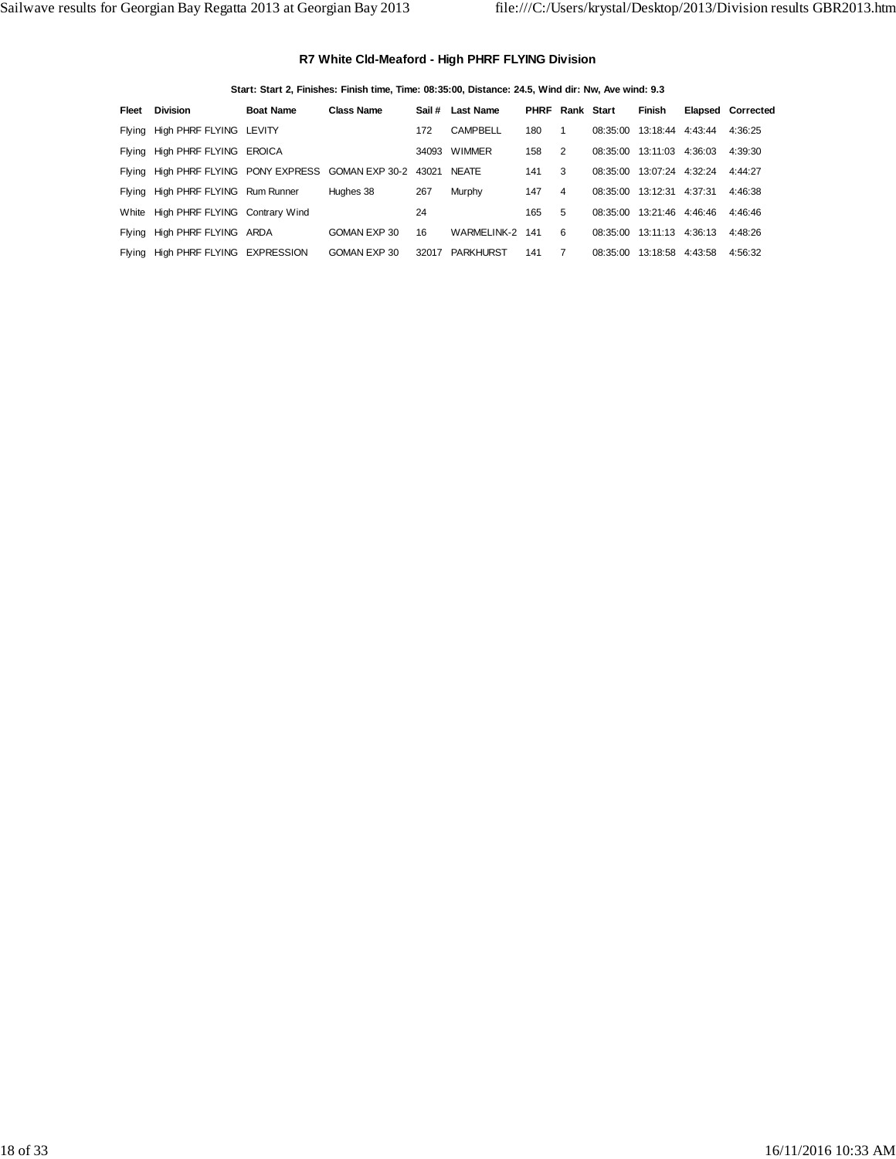### **R7 White Cld-Meaford - High PHRF FLYING Division**

### **Start: Start 2, Finishes: Finish time, Time: 08:35:00, Distance: 24.5, Wind dir: Nw, Ave wind: 9.3**

| Fleet  | Division                                                  | <b>Boat Name</b> | <b>Class Name</b> |       | Sail # Last Name | <b>PHRF Rank Start</b> |   | Finish                    |         | <b>Elapsed Corrected</b> |
|--------|-----------------------------------------------------------|------------------|-------------------|-------|------------------|------------------------|---|---------------------------|---------|--------------------------|
|        | Flying High PHRF FLYING LEVITY                            |                  |                   | 172   | <b>CAMPBELL</b>  | 180                    | 1 | 08:35:00 13:18:44 4:43:44 |         | 4:36:25                  |
| Flying | High PHRF FLYING EROICA                                   |                  |                   | 34093 | <b>WIMMER</b>    | 158                    | 2 | 08:35:00 13:11:03 4:36:03 |         | 4:39:30                  |
|        | Flying High PHRF FLYING PONY EXPRESS GOMAN EXP 30-2 43021 |                  |                   |       | NEATE            | 141                    | 3 | 08:35:00 13:07:24 4:32:24 |         | 4:44:27                  |
|        | Flying High PHRF FLYING Rum Runner                        |                  | Hughes 38         | 267   | Murphy           | 147                    | 4 | 08:35:00 13:12:31         | 4:37:31 | 4:46:38                  |
|        | White High PHRF FLYING Contrary Wind                      |                  |                   | 24    |                  | 165                    | 5 | 08:35:00 13:21:46 4:46:46 |         | 4:46:46                  |
|        | Flying High PHRF FLYING ARDA                              |                  | GOMAN EXP 30      | 16    | WARMELINK-2 141  |                        | 6 | 08:35:00 13:11:13 4:36:13 |         | 4:48:26                  |
| Flvina | High PHRF FLYING EXPRESSION                               |                  | GOMAN EXP 30      | 32017 | PARKHURST        | 141                    | 7 | 08:35:00 13:18:58         | 4:43:58 | 4:56:32                  |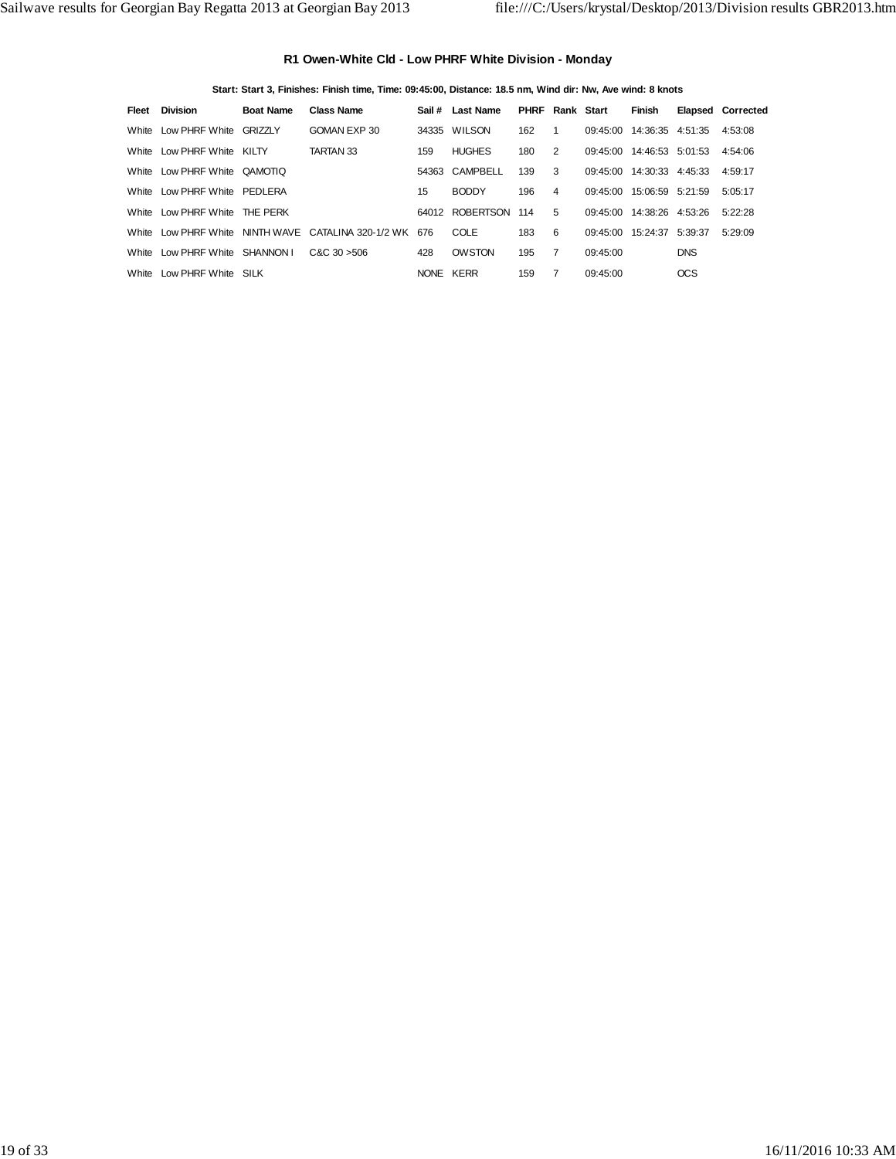### **R1 Owen-White Cld - Low PHRF White Division - Monday**

**Start: Start 3, Finishes: Finish time, Time: 09:45:00, Distance: 18.5 nm, Wind dir: Nw, Ave wind: 8 knots**

| <b>Fleet</b> Division          | <b>Boat Name</b> | <b>Class Name</b>                                       |           | Sail # Last Name    | <b>PHRF Rank Start</b> |                |          | Finish                    |            | <b>Elapsed Corrected</b> |
|--------------------------------|------------------|---------------------------------------------------------|-----------|---------------------|------------------------|----------------|----------|---------------------------|------------|--------------------------|
| White Low PHRF White GRIZZLY   |                  | GOMAN EXP 30                                            |           | 34335 WILSON        | 162                    | 1.             |          | 09:45:00 14:36:35 4:51:35 |            | 4:53:08                  |
| White Low PHRF White KILTY     |                  | TARTAN 33                                               | 159       | <b>HUGHES</b>       | 180                    | 2              |          | 09:45:00 14:46:53 5:01:53 |            | 4:54:06                  |
| White Low PHRF White QAMOTIQ   |                  |                                                         |           | 54363 CAMPBELL      | 139                    | 3              |          | 09:45:00 14:30:33 4:45:33 |            | 4:59:17                  |
| White Low PHRF White PEDLERA   |                  |                                                         | 15        | <b>BODDY</b>        | 196                    | $\overline{4}$ |          | 09:45:00 15:06:59 5:21:59 |            | 5:05:17                  |
| White Low PHRF White THE PERK  |                  |                                                         |           | 64012 ROBERTSON 114 |                        | 5              |          | 09:45:00 14:38:26 4:53:26 |            | 5:22:28                  |
|                                |                  | White Low PHRF White NINTH WAVE CATALINA 320-1/2 WK 676 |           | COLE                | 183                    | 6              |          | 09:45:00 15:24:37 5:39:37 |            | 5:29:09                  |
| White Low PHRF White SHANNON I |                  | CAC30 > 506                                             | 428       | OWSTON              | 195                    | $\overline{7}$ | 09:45:00 |                           | <b>DNS</b> |                          |
| White Low PHRF White SILK      |                  |                                                         | NONE KERR |                     | 159                    | 7              | 09:45:00 |                           | <b>OCS</b> |                          |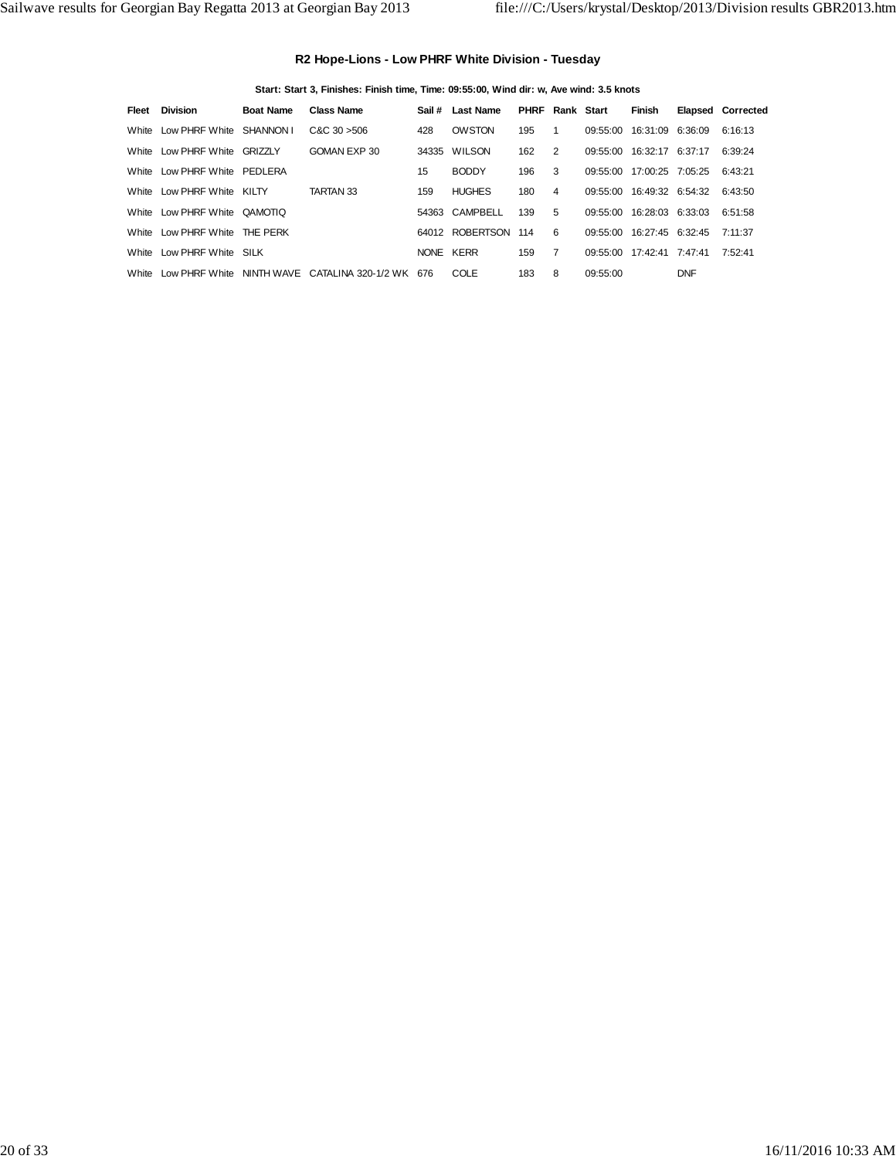### **R2 Hope-Lions - Low PHRF White Division - Tuesday**

### **Start: Start 3, Finishes: Finish time, Time: 09:55:00, Wind dir: w, Ave wind: 3.5 knots**

| Fleet | Division                 | <b>Boat Name</b> | <b>Class Name</b>                  |             | Sail # Last Name | <b>PHRF Rank Start</b> |    |          | Finish           |            | <b>Elapsed Corrected</b> |
|-------|--------------------------|------------------|------------------------------------|-------------|------------------|------------------------|----|----------|------------------|------------|--------------------------|
| White | Low PHRF White SHANNON I |                  | CAC.30 > 506                       | 428         | OWSTON           | 195                    | 1. | 09:55:00 | 16:31:09 6:36:09 |            | 6:16:13                  |
| White | Low PHRF White GRIZZLY   |                  | GOMAN EXP 30                       | 34335       | WILSON           | 162                    | 2  | 09:55:00 | 16:32:17 6:37:17 |            | 6:39:24                  |
| White | Low PHRF White PEDLERA   |                  |                                    | 15          | <b>BODDY</b>     | 196                    | 3  | 09:55:00 | 17:00:25 7:05:25 |            | 6:43:21                  |
| White | Low PHRF White KILTY     |                  | TARTAN 33                          | 159         | <b>HUGHES</b>    | 180                    | 4  | 09:55:00 | 16:49:32 6:54:32 |            | 6:43:50                  |
|       | White Low PHRF White     | QAMOTIO          |                                    |             | 54363 CAMPBELL   | 139                    | 5  | 09:55:00 | 16:28:03 6:33:03 |            | 6:51:58                  |
|       | White Low PHRF White     | THE PERK         |                                    |             | 64012 ROBERTSON  | 114                    | 6  | 09:55:00 | 16:27:45 6:32:45 |            | 7:11:37                  |
| White | Low PHRF White SILK      |                  |                                    | <b>NONE</b> | KERR             | 159                    | 7  | 09:55:00 | 17:42:41 7:47:41 |            | 7:52:41                  |
| White | Low PHRF White           |                  | NINTH WAVE CATALINA 320-1/2 WK 676 |             | COLE             | 183                    | 8  | 09:55:00 |                  | <b>DNF</b> |                          |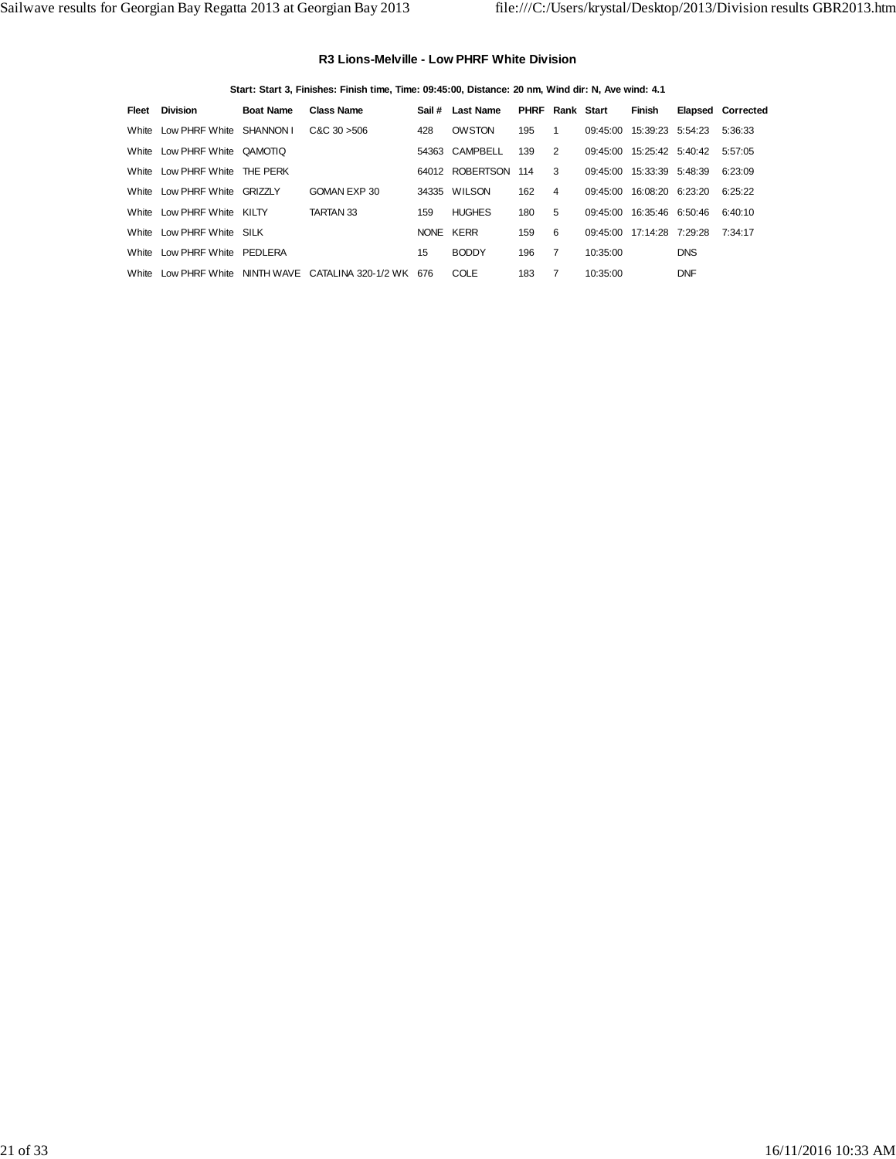### **R3 Lions-Melville - Low PHRF White Division**

**Start: Start 3, Finishes: Finish time, Time: 09:45:00, Distance: 20 nm, Wind dir: N, Ave wind: 4.1**

|       | <b>Fleet</b> Division          | <b>Boat Name</b> | <b>Class Name</b>                                 |           | Sail # Last Name    | <b>PHRF Rank Start</b> |                |                           | Finish |            | <b>Elapsed Corrected</b> |
|-------|--------------------------------|------------------|---------------------------------------------------|-----------|---------------------|------------------------|----------------|---------------------------|--------|------------|--------------------------|
|       | White Low PHRF White SHANNON I |                  | CAC30 > 506                                       | 428       | OWSTON              | 195                    | 1              | 09:45:00 15:39:23 5:54:23 |        |            | 5:36:33                  |
|       | White Low PHRF White QAMOTIO   |                  |                                                   |           | 54363 CAMPBELL      | 139                    | 2              | 09:45:00 15:25:42 5:40:42 |        |            | 5:57:05                  |
|       | White Low PHRF White THE PERK  |                  |                                                   |           | 64012 ROBERTSON 114 |                        | 3              | 09:45:00 15:33:39 5:48:39 |        |            | 6:23:09                  |
|       | White Low PHRF White GRIZZLY   |                  | GOMAN EXP 30                                      |           | 34335 WILSON        | 162                    | 4              | 09:45:00 16:08:20 6:23:20 |        |            | 6:25:22                  |
|       | White Low PHRF White KILTY     |                  | TARTAN 33                                         | 159       | <b>HUGHES</b>       | 180                    | 5              | 09:45:00 16:35:46 6:50:46 |        |            | 6:40:10                  |
|       | White Low PHRF White SILK      |                  |                                                   | NONE KERR |                     | 159                    | 6              | 09:45:00 17:14:28 7:29:28 |        |            | 7:34:17                  |
|       | White Low PHRF White PEDLERA   |                  |                                                   | 15        | <b>BODDY</b>        | 196                    | $\overline{7}$ | 10:35:00                  |        | <b>DNS</b> |                          |
| White |                                |                  | Low PHRF White NINTH WAVE CATALINA 320-1/2 WK 676 |           | COLE                | 183                    | $\overline{7}$ | 10:35:00                  |        | <b>DNF</b> |                          |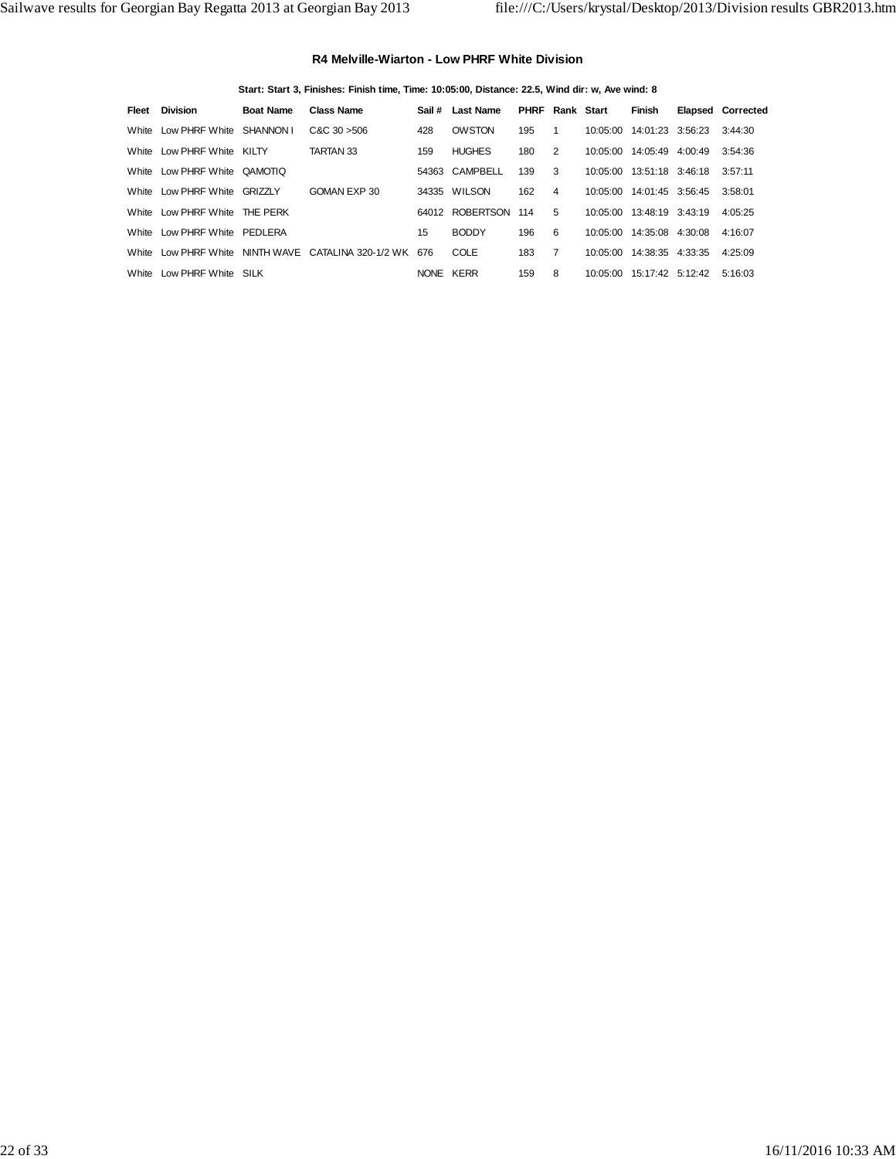### **R4 Melville-Wiarton - Low PHRF White Division**

|  | Start: Start 3. Finishes: Finish time. Time: 10:05:00. Distance: 22.5. Wind dir: w. Ave wind: 8 |  |  |  |  |
|--|-------------------------------------------------------------------------------------------------|--|--|--|--|
|  |                                                                                                 |  |  |  |  |

| Fleet | Division                 | <b>Boat Name</b> | <b>Class Name</b>              | Sail #    | Last Name       | <b>PHRF Rank Start</b> |   |          | Finish                      | Elapsed Corrected |
|-------|--------------------------|------------------|--------------------------------|-----------|-----------------|------------------------|---|----------|-----------------------------|-------------------|
| White | Low PHRF White SHANNON I |                  | CAC.30 > 506                   | 428       | OWSTON          | 195                    | 1 | 10:05:00 | 14:01:23 3:56:23            | 3:44:30           |
| White | Low PHRF White KILTY     |                  | <b>TARTAN 33</b>               | 159       | <b>HUGHES</b>   | 180                    | 2 | 10:05:00 | 14:05:49 4:00:49            | 3:54:36           |
| White | Low PHRF White           | QAMOTIO          |                                |           | 54363 CAMPBELL  | 139                    | 3 |          | 10:05:00  13:51:18  3:46:18 | 3:57:11           |
| White | Low PHRF White GRIZZLY   |                  | GOMAN EXP 30                   |           | 34335 WILSON    | 162                    | 4 | 10:05:00 | 14:01:45 3:56:45            | 3:58:01           |
| White | Low PHRF White           | THE PERK         |                                |           | 64012 ROBERTSON | 114                    | 5 | 10:05:00 | 13:48:19 3:43:19            | 4:05:25           |
| White | Low PHRF White           | PEDLERA          |                                | 15        | <b>BODDY</b>    | 196                    | 6 | 10:05:00 | 14:35:08 4:30:08            | 4:16:07           |
| White | Low PHRF White           |                  | NINTH WAVE CATALINA 320-1/2 WK | 676       | COLE            | 183                    | 7 | 10:05:00 | 14:38:35 4:33:35            | 4:25:09           |
| White | Low PHRF White SILK      |                  |                                | NONE KERR |                 | 159                    | 8 | 10:05:00 | 15:17:42 5:12:42            | 5:16:03           |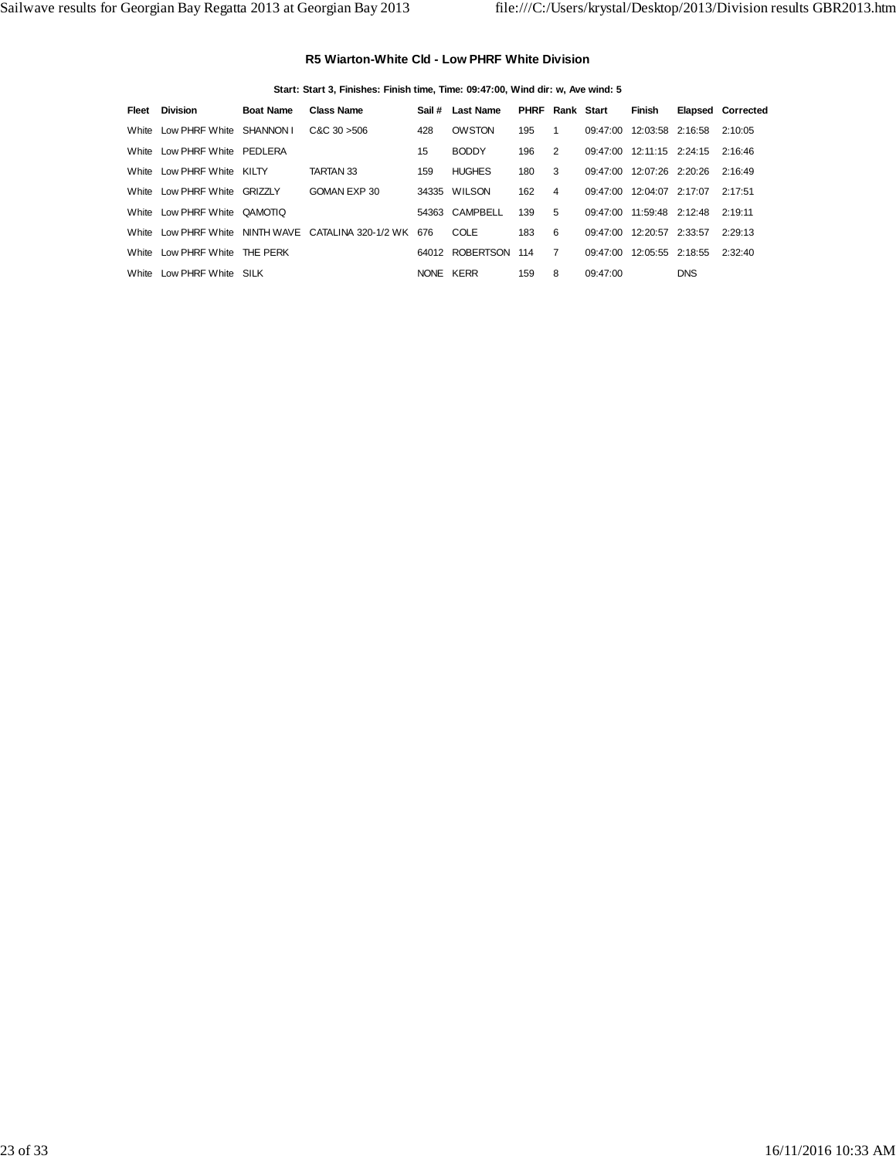### **R5 Wiarton-White Cld - Low PHRF White Division**

### **Start: Start 3, Finishes: Finish time, Time: 09:47:00, Wind dir: w, Ave wind: 5**

| <b>PHRF Rank Start</b><br><b>Elapsed Corrected</b><br>Finish     |  | Sail # Last Name |             | <b>Class Name</b>                                       | <b>Boat Name</b> | Division                     | Fleet |
|------------------------------------------------------------------|--|------------------|-------------|---------------------------------------------------------|------------------|------------------------------|-------|
| 195<br>12:03:58 2:16:58<br>09:47:00<br>2:10:05<br>1              |  | OWSTON           | 428         | CAC.30 > 506                                            |                  | Low PHRF White SHANNON I     | White |
| 196<br>2<br>$12:11:15$ $2:24:15$<br>09:47:00<br>2:16:46          |  | <b>BODDY</b>     | 15          |                                                         |                  | White Low PHRF White PEDLERA |       |
| 180<br>3<br>12:07:26 2:20:26<br>09:47:00<br>2:16:49              |  | <b>HUGHES</b>    | 159         | TARTAN 33                                               |                  | Low PHRF White KILTY         | White |
| 162<br>4<br>12:04:07 2:17:07<br>09:47:00<br>2:17:51              |  | 34335 WILSON     |             | GOMAN EXP 30                                            |                  | Low PHRF White GRIZZLY       | White |
| 139<br>5<br>11:59:48 2:12:48<br>09:47:00<br>2:19:11              |  | 54363 CAMPBELL   |             |                                                         |                  | Low PHRF White QAMOTIQ       | White |
| 183<br>6<br>12:20:57 2:33:57<br>09:47:00<br>2:29:13              |  | COLE             |             | White Low PHRF White NINTH WAVE CATALINA 320-1/2 WK 676 |                  |                              |       |
| $\overline{7}$<br>12:05:55 2:18:55<br>114<br>09:47:00<br>2:32:40 |  | 64012 ROBERTSON  |             |                                                         | THE PERK         | Low PHRF White               | White |
| <b>DNS</b><br>159<br>8<br>09:47:00                               |  | KERR             | <b>NONE</b> |                                                         |                  | Low PHRF White SILK          | White |
|                                                                  |  |                  |             |                                                         |                  |                              |       |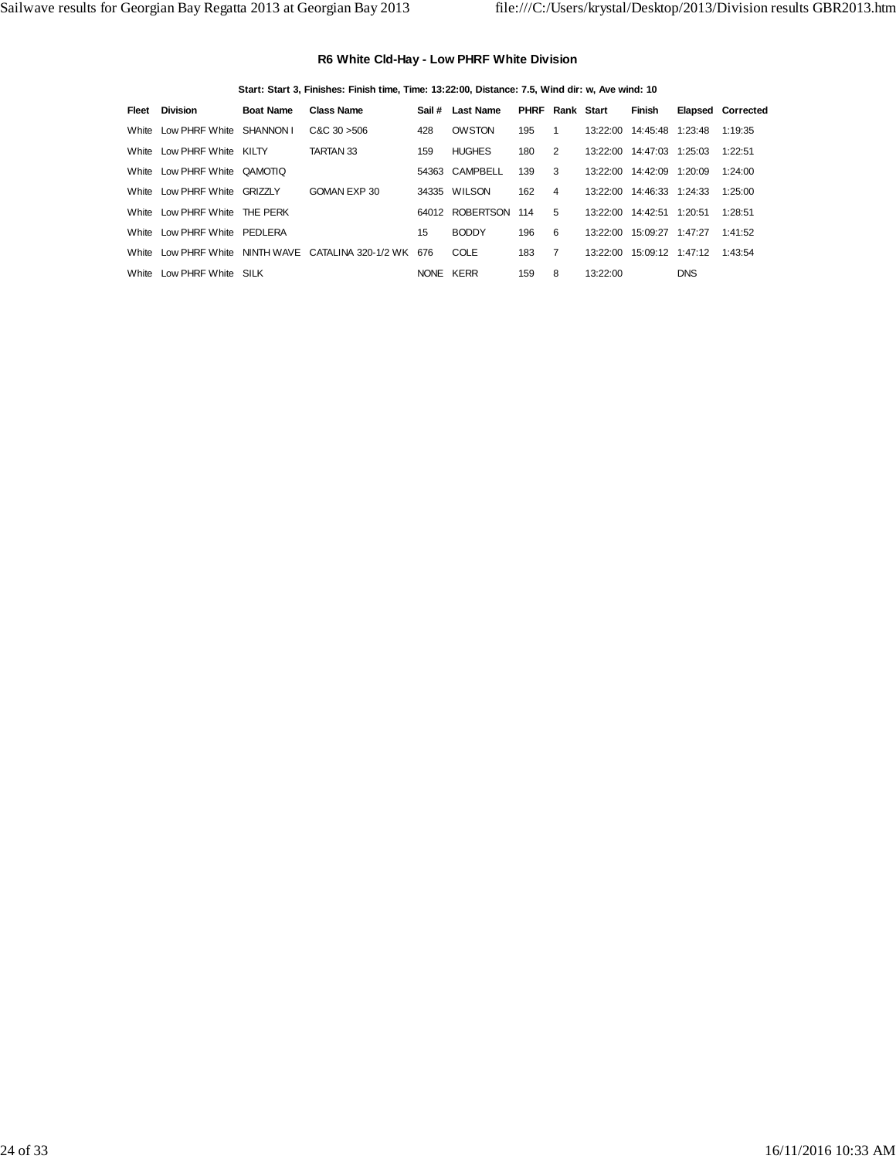### **R6 White Cld-Hay - Low PHRF White Division**

**Start: Start 3, Finishes: Finish time, Time: 13:22:00, Distance: 7.5, Wind dir: w, Ave wind: 10**

| Fleet | Division                 | <b>Boat Name</b> | <b>Class Name</b>                  |           | Sail # Last Name | <b>PHRF Rank Start</b> |   |          | Finish                    |            | Elapsed Corrected |
|-------|--------------------------|------------------|------------------------------------|-----------|------------------|------------------------|---|----------|---------------------------|------------|-------------------|
| White | Low PHRF White SHANNON I |                  | CAC.30 > 506                       | 428       | OWSTON           | 195                    | 1 | 13:22:00 | 14:45:48 1:23:48          |            | 1:19:35           |
| White | Low PHRF White KILTY     |                  | TARTAN 33                          | 159       | <b>HUGHES</b>    | 180                    | 2 | 13:22:00 | 14:47:03 1:25:03          |            | 1:22:51           |
| White | Low PHRF White QAMOTIO   |                  |                                    |           | 54363 CAMPBELL   | 139                    | 3 | 13:22:00 | 14:42:09 1:20:09          |            | 1:24:00           |
| White | Low PHRF White GRIZZLY   |                  | GOMAN EXP 30                       |           | 34335 WILSON     | 162                    | 4 | 13:22:00 | 14:46:33 1:24:33          |            | 1:25:00           |
| White | Low PHRF White           | THE PERK         |                                    |           | 64012 ROBERTSON  | 114                    | 5 | 13:22:00 | 14:42:51 1:20:51          |            | 1:28:51           |
| White | Low PHRF White PEDLERA   |                  |                                    | 15        | <b>BODDY</b>     | 196                    | 6 |          | 13:22:00 15:09:27 1:47:27 |            | 1:41:52           |
| White | Low PHRF White           |                  | NINTH WAVE CATALINA 320-1/2 WK 676 |           | COLE             | 183                    | 7 | 13:22:00 | 15:09:12 1:47:12          |            | 1:43:54           |
| White | Low PHRF White SILK      |                  |                                    | NONE KERR |                  | 159                    | 8 | 13:22:00 |                           | <b>DNS</b> |                   |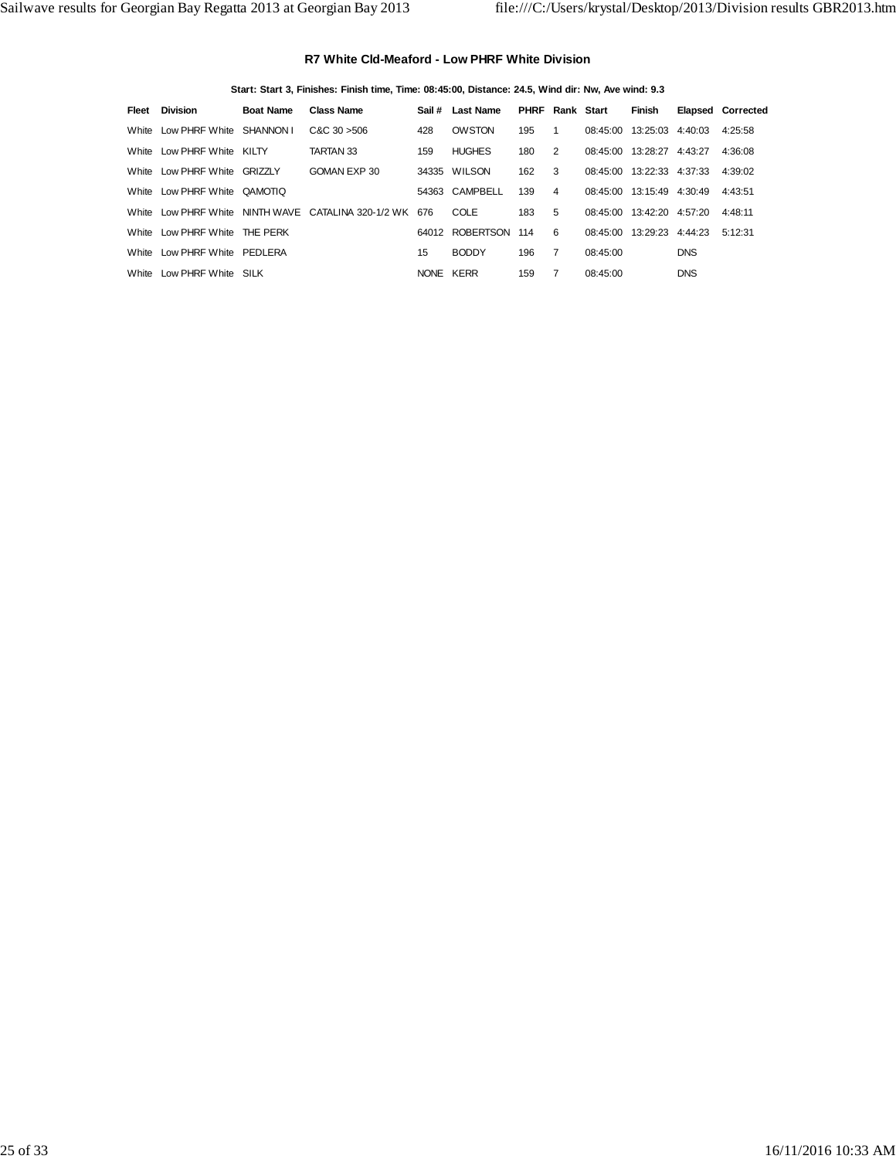### **R7 White Cld-Meaford - Low PHRF White Division**

### **Start: Start 3, Finishes: Finish time, Time: 08:45:00, Distance: 24.5, Wind dir: Nw, Ave wind: 9.3**

| Fleet | Division                 | <b>Boat Name</b> | <b>Class Name</b>                                 |           | Sail # Last Name | <b>PHRF Rank Start</b> |    |          | Finish               |            | Elapsed Corrected |
|-------|--------------------------|------------------|---------------------------------------------------|-----------|------------------|------------------------|----|----------|----------------------|------------|-------------------|
| White | Low PHRF White SHANNON I |                  | CAC.30 > 506                                      | 428       | OWSTON           | 195                    | 1. | 08:45:00 | $13:25:03$ $4:40:03$ |            | 4:25:58           |
| White | Low PHRF White KILTY     |                  | TARTAN 33                                         | 159       | <b>HUGHES</b>    | 180                    | 2  | 08:45:00 | 13:28:27 4:43:27     |            | 4:36:08           |
| White | Low PHRF White GRIZZLY   |                  | GOMAN EXP 30                                      |           | 34335 WILSON     | 162                    | 3  | 08:45:00 | 13:22:33 4:37:33     |            | 4:39:02           |
| White | Low PHRF White QAMOTIO   |                  |                                                   |           | 54363 CAMPBELL   | 139                    | 4  | 08:45:00 | 13:15:49 4:30:49     |            | 4:43:51           |
| White |                          |                  | Low PHRF White NINTH WAVE CATALINA 320-1/2 WK 676 |           | COLE             | 183                    | 5  | 08:45:00 | 13:42:20 4:57:20     |            | 4:48:11           |
| White | Low PHRF White           | THE PERK         |                                                   |           | 64012 ROBERTSON  | 114                    | 6  | 08:45:00 | 13:29:23 4:44:23     |            | 5:12:31           |
| White | Low PHRF White PEDLERA   |                  |                                                   | 15        | <b>BODDY</b>     | 196                    | 7  | 08:45:00 |                      | <b>DNS</b> |                   |
| White | Low PHRF White SILK      |                  |                                                   | NONE KERR |                  | 159                    | 7  | 08:45:00 |                      | <b>DNS</b> |                   |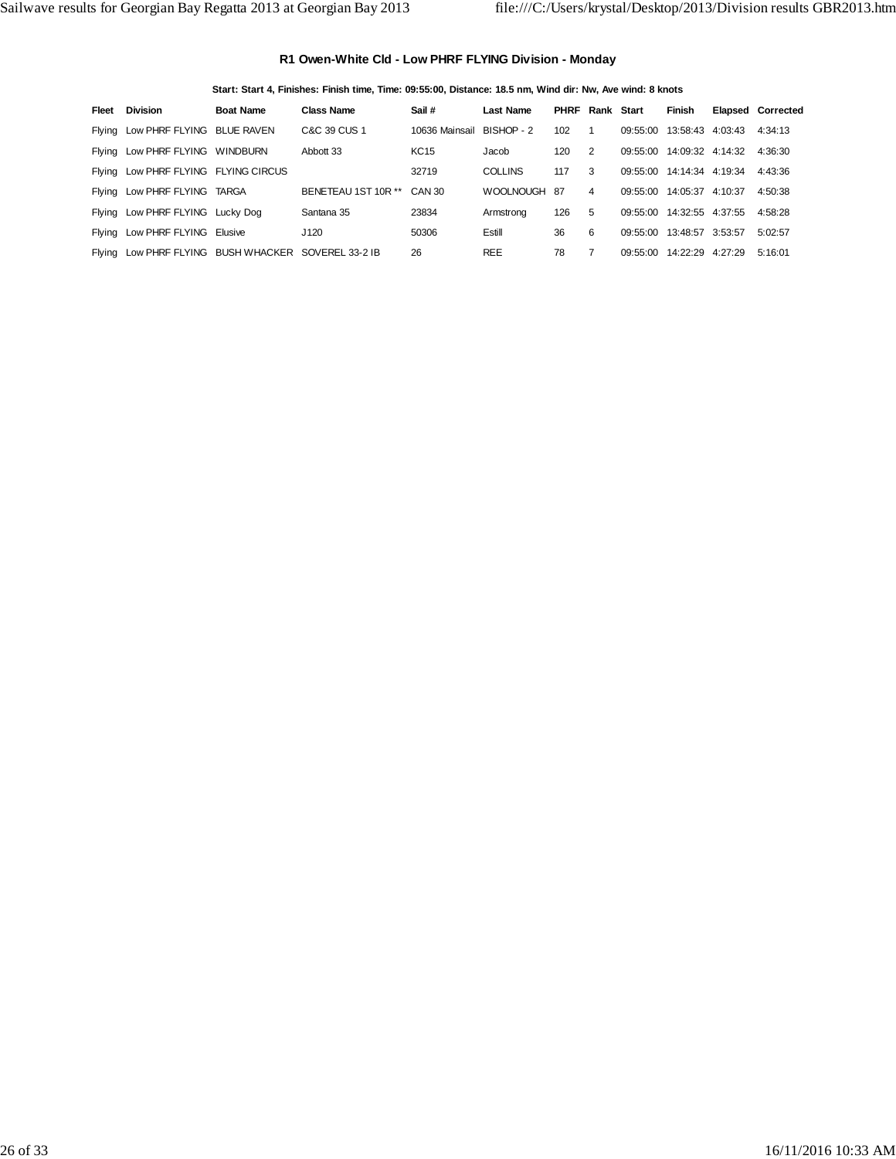### **R1 Owen-White Cld - Low PHRF FLYING Division - Monday**

### **Start: Start 4, Finishes: Finish time, Time: 09:55:00, Distance: 18.5 nm, Wind dir: Nw, Ave wind: 8 knots**

| Fleet  | <b>Division</b>                              | <b>Boat Name</b> | <b>Class Name</b>   | Sail#                     | <b>Last Name</b> | PHRF | Rank Start |          | <b>Finish</b>    |         | <b>Elapsed Corrected</b> |
|--------|----------------------------------------------|------------------|---------------------|---------------------------|------------------|------|------------|----------|------------------|---------|--------------------------|
|        | Flying Low PHRF FLYING BLUE RAVEN            |                  | C&C 39 CUS 1        | 10636 Mainsail BISHOP - 2 |                  | 102  |            | 09:55:00 | 13:58:43         | 4:03:43 | 4:34:13                  |
| Flying | Low PHRF FLYING WINDBURN                     |                  | Abbott 33           | <b>KC15</b>               | Jacob            | 120  | 2          | 09:55:00 | 14:09:32 4:14:32 |         | 4:36:30                  |
| Flying | Low PHRF FLYING FLYING CIRCUS                |                  |                     | 32719                     | <b>COLLINS</b>   | 117  | 3          | 09:55:00 | 14:14:34 4:19:34 |         | 4:43:36                  |
| Flying | Low PHRF FLYING TARGA                        |                  | BENETEAU 1ST 10R ** | CAN 30                    | WOOLNOUGH 87     |      | 4          | 09:55:00 | 14:05:37 4:10:37 |         | 4:50:38                  |
| Flying | Low PHRF FLYING Lucky Dog                    |                  | Santana 35          | 23834                     | Armstrona        | 126  | 5          | 09:55:00 | 14:32:55 4:37:55 |         | 4:58:28                  |
| Flvina | Low PHRF FLYING Elusive                      |                  | J120                | 50306                     | Estill           | 36   | 6          | 09:55:00 | 13:48:57 3:53:57 |         | 5:02:57                  |
| Flvina | Low PHRF FLYING BUSH WHACKER SOVEREL 33-2 IB |                  |                     | 26                        | <b>REE</b>       | 78   |            | 09:55:00 | 14:22:29         | 4:27:29 | 5:16:01                  |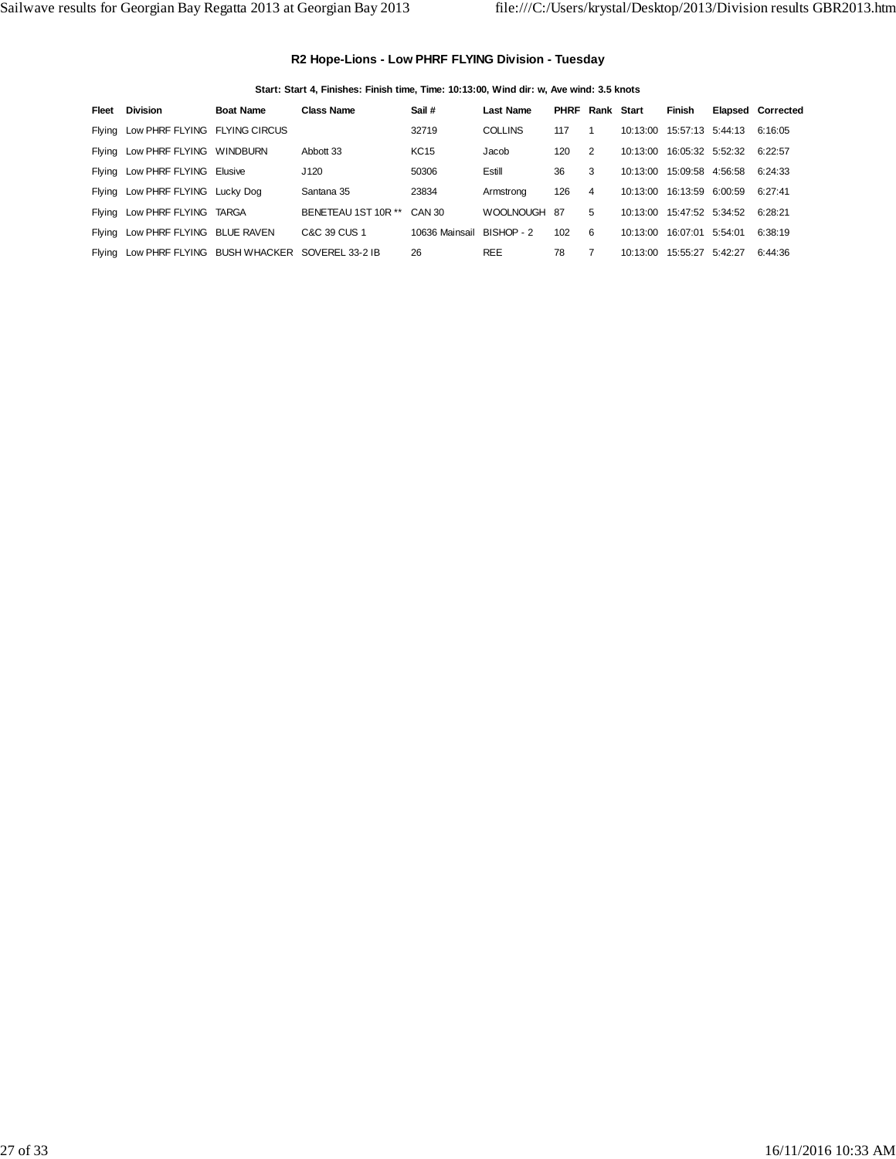### **R2 Hope-Lions - Low PHRF FLYING Division - Tuesday**

### **Start: Start 4, Finishes: Finish time, Time: 10:13:00, Wind dir: w, Ave wind: 3.5 knots**

| Fleet  | <b>Division</b>                              | <b>Boat Name</b> | <b>Class Name</b>   | Sail#                     | Last Name      | <b>PHRF Rank Start</b> |                |          | Finish           |         | <b>Elapsed Corrected</b> |
|--------|----------------------------------------------|------------------|---------------------|---------------------------|----------------|------------------------|----------------|----------|------------------|---------|--------------------------|
| Flying | Low PHRF FLYING FLYING CIRCUS                |                  |                     | 32719                     | <b>COLLINS</b> | 117                    |                | 10:13:00 | 15:57:13 5:44:13 |         | 6:16:05                  |
| Flying | Low PHRF FLYING WINDBURN                     |                  | Abbott 33           | <b>KC15</b>               | Jacob          | 120                    | 2              | 10:13:00 | 16:05:32 5:52:32 |         | 6:22:57                  |
| Flving | Low PHRF FLYING Elusive                      |                  | J120                | 50306                     | Estill         | 36                     | 3              | 10:13:00 | 15:09:58 4:56:58 |         | 6:24:33                  |
| Flying | Low PHRF FLYING Lucky Dog                    |                  | Santana 35          | 23834                     | Armstrona      | 126                    | $\overline{4}$ | 10:13:00 | 16:13:59 6:00:59 |         | 6:27:41                  |
| Flvina | Low PHRF FLYING TARGA                        |                  | BENETEAU 1ST 10R ** | CAN 30                    | WOOLNOUGH 87   |                        | 5              | 10.13:00 | 15:47:52 5:34:52 |         | 6:28:21                  |
| Flvina | Low PHRF FLYING BLUE RAVEN                   |                  | C&C 39 CUS 1        | 10636 Mainsail BISHOP - 2 |                | 102                    | 6              | 10:13:00 | 16:07:01 5:54:01 |         | 6:38:19                  |
| Flving | Low PHRF FLYING BUSH WHACKER SOVEREL 33-2 IB |                  |                     | 26                        | <b>REE</b>     | 78                     |                | 10.1300  | 15:55:27         | 5:42:27 | 6:44:36                  |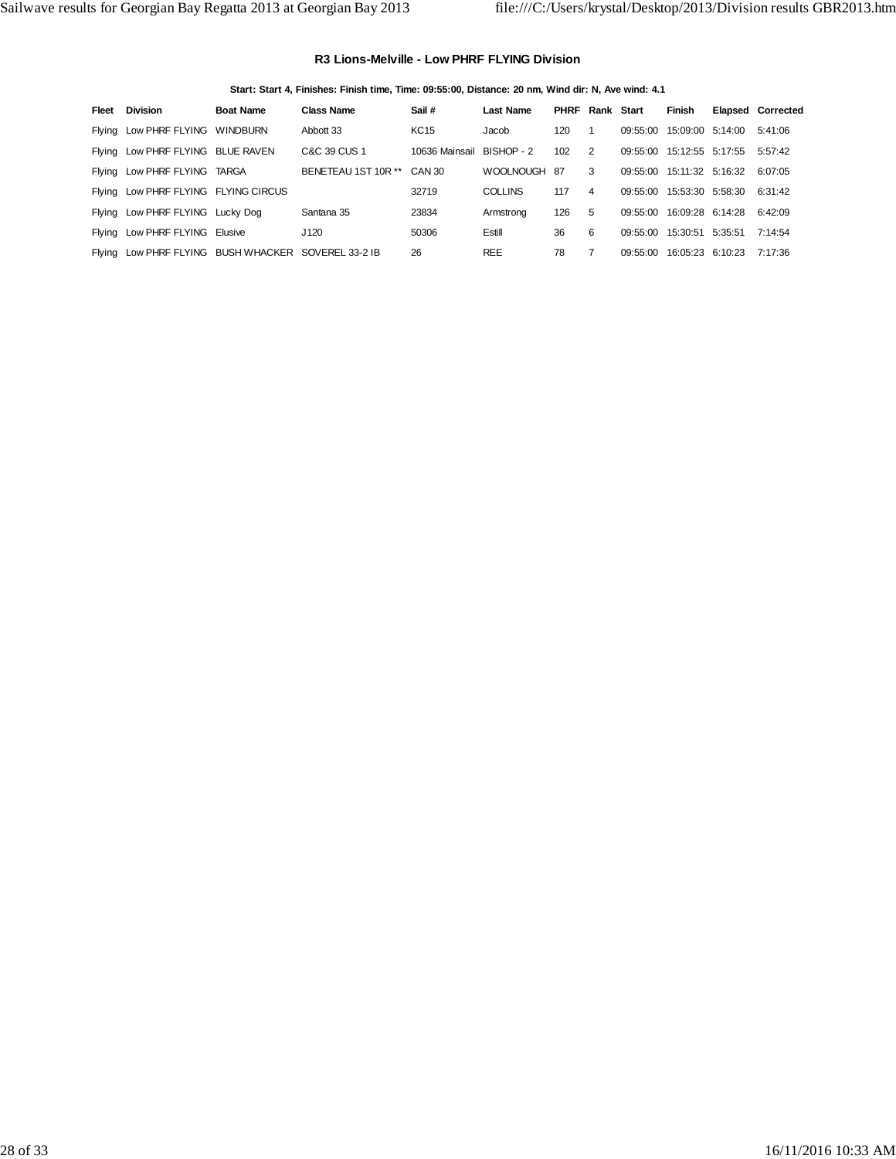### **R3 Lions-Melville - Low PHRF FLYING Division**

### **Start: Start 4, Finishes: Finish time, Time: 09:55:00, Distance: 20 nm, Wind dir: N, Ave wind: 4.1**

| Fleet  | Division                                     | <b>Boat Name</b> | <b>Class Name</b>   | Sail#                     | <b>Last Name</b> | <b>PHRF Rank Start</b> |   |          | Finish                    |         | <b>Elapsed Corrected</b> |
|--------|----------------------------------------------|------------------|---------------------|---------------------------|------------------|------------------------|---|----------|---------------------------|---------|--------------------------|
| Flying | Low PHRF FLYING WINDBURN                     |                  | Abbott 33           | <b>KC15</b>               | Jacob            | 120                    |   | 09:55:00 | 15:09:00 5:14:00          |         | 5:41:06                  |
| Flving | Low PHRF FLYING BLUE RAVEN                   |                  | C&C 39 CUS 1        | 10636 Mainsail BISHOP - 2 |                  | 102                    | 2 | 09:55:00 | 15:12:55 5:17:55          |         | 5:57:42                  |
| Flvina | Low PHRF FLYING TARGA                        |                  | BENETEAU 1ST 10R ** | CAN 30                    | WOOLNOUGH 87     |                        | 3 |          | 09:55:00 15:11:32 5:16:32 |         | 6:07:05                  |
| Flving | Low PHRF FLYING FLYING CIRCUS                |                  |                     | 32719                     | <b>COLLINS</b>   | 117                    | 4 | 09:55:00 | 15:53:30 5:58:30          |         | 6:31:42                  |
| Flying | Low PHRF FLYING Lucky Dog                    |                  | Santana 35          | 23834                     | Armstrona        | 126                    | 5 | 09:55:00 | 16:09:28 6:14:28          |         | 6:42:09                  |
| Flying | Low PHRF FLYING Elusive                      |                  | J120                | 50306                     | Estill           | 36                     | 6 | 09:55:00 | 15:30:51                  | 5:35:51 | 7:14:54                  |
| Flving | Low PHRF FLYING BUSH WHACKER SOVEREL 33-2 IB |                  |                     | 26                        | <b>REE</b>       | 78                     |   | 09:55:00 | 16:05:23 6:10:23          |         | 7:17:36                  |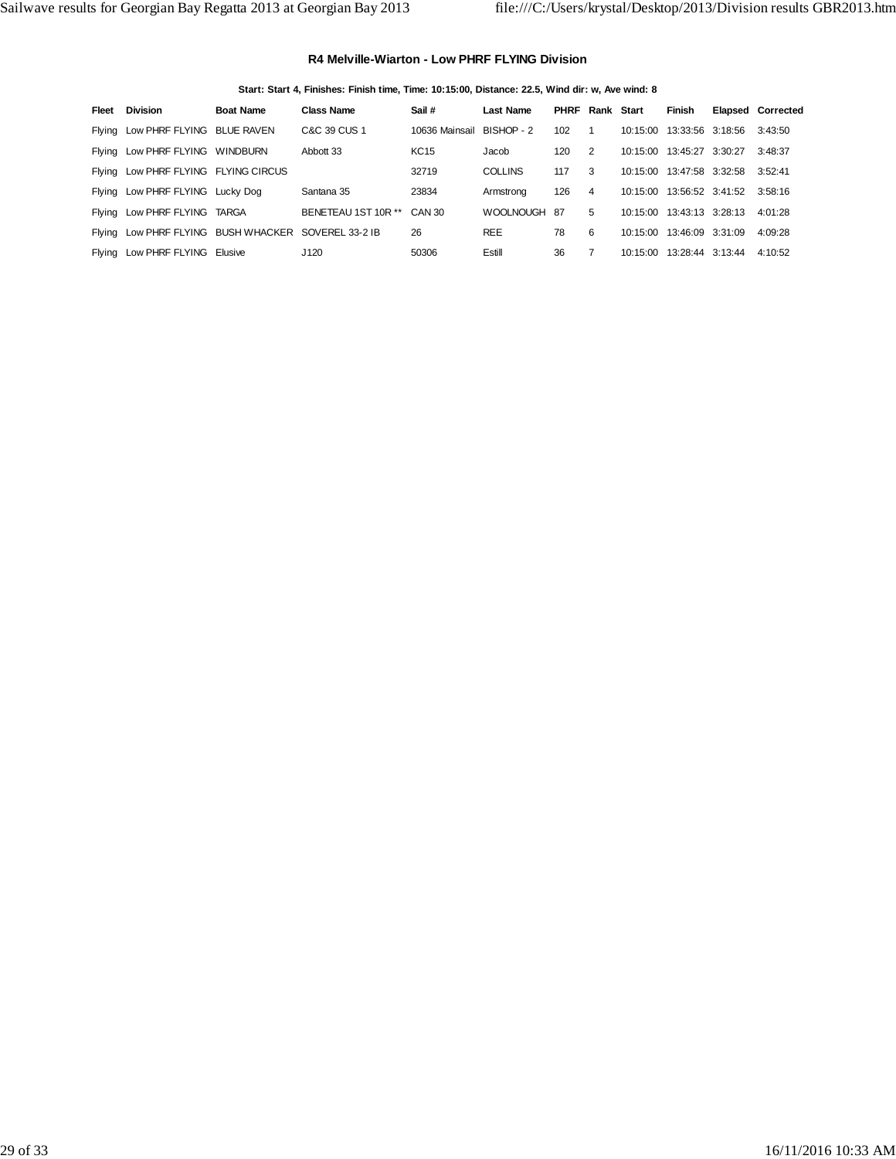### **R4 Melville-Wiarton - Low PHRF FLYING Division**

### **Start: Start 4, Finishes: Finish time, Time: 10:15:00, Distance: 22.5, Wind dir: w, Ave wind: 8**

| Fleet  | <b>Division</b>                                     | <b>Boat Name</b> | <b>Class Name</b>   | Sail#                     | <b>Last Name</b> | <b>PHRF Rank Start</b> |                |          | <b>Finish</b>    | <b>Elapsed Corrected</b> |
|--------|-----------------------------------------------------|------------------|---------------------|---------------------------|------------------|------------------------|----------------|----------|------------------|--------------------------|
|        | Flying Low PHRF FLYING BLUE RAVEN                   |                  | C&C 39 CUS 1        | 10636 Mainsail BISHOP - 2 |                  | 102                    | 1              | 10:15:00 | 13:33:56 3:18:56 | 3:43:50                  |
| Flying | Low PHRF FLYING WINDBURN                            |                  | Abbott 33           | <b>KC15</b>               | Jacob            | 120                    | 2              | 10.15:00 | 13:45:27 3:30:27 | 3:48:37                  |
| Flvina | Low PHRF FLYING FLYING CIRCUS                       |                  |                     | 32719                     | <b>COLLINS</b>   | 117                    | 3              | 10.15:00 | 13:47:58 3:32:58 | 3:52:41                  |
| Flying | Low PHRF FLYING Lucky Dog                           |                  | Santana 35          | 23834                     | Armstrona        | 126                    | $\overline{4}$ | 10:15:00 | 13:56:52 3:41:52 | 3:58:16                  |
| Flying | Low PHRF FLYING TARGA                               |                  | BENETEAU 1ST 10R ** | CAN 30                    | WOOLNOUGH 87     |                        | 5              | 10.15:00 | 13:43:13 3:28:13 | 4:01:28                  |
|        | Flying Low PHRF FLYING BUSH WHACKER SOVEREL 33-2 IB |                  |                     | 26                        | <b>REE</b>       | 78                     | 6              | 10:15:00 | 13:46:09 3:31:09 | 4:09:28                  |
| Flvina | Low PHRF FLYING Elusive                             |                  | J120                | 50306                     | Estill           | 36                     |                | 10:15:00 | 13:28:44 3:13:44 | 4:10:52                  |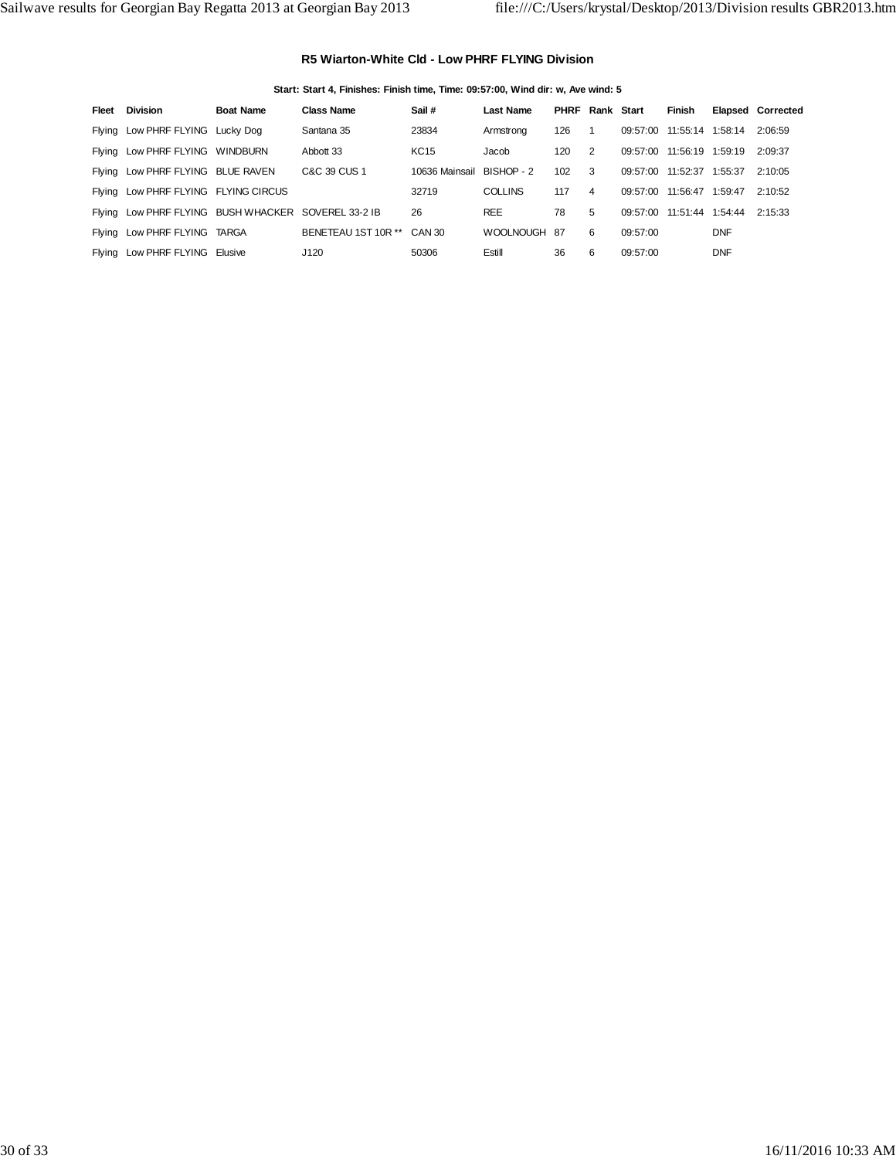### **R5 Wiarton-White Cld - Low PHRF FLYING Division**

### **Start: Start 4, Finishes: Finish time, Time: 09:57:00, Wind dir: w, Ave wind: 5**

| Fleet  | Division                                            | <b>Boat Name</b> | <b>Class Name</b>   | Sail#          | <b>Last Name</b> | <b>PHRF Rank Start</b> |                |          | <b>Finish</b>    |            | <b>Elapsed Corrected</b> |
|--------|-----------------------------------------------------|------------------|---------------------|----------------|------------------|------------------------|----------------|----------|------------------|------------|--------------------------|
|        | Flying Low PHRF FLYING Lucky Dog                    |                  | Santana 35          | 23834          | Armstrona        | 126                    |                | 09:57:00 |                  |            | 2:06:59                  |
|        | Flying Low PHRF FLYING WINDBURN                     |                  | Abbott 33           | <b>KC15</b>    | Jacob            | 120                    | 2              | 09:57:00 | 11:56:19 1:59:19 |            | 2:09:37                  |
|        | Flying Low PHRF FLYING BLUE RAVEN                   |                  | C&C 39 CUS 1        | 10636 Mainsail | BISHOP - 2       | 102                    | $\mathbf{B}$   | 09:57:00 | 11:52:37 1:55:37 |            | 2:10:05                  |
|        | Flying Low PHRF FLYING FLYING CIRCUS                |                  |                     | 32719          | <b>COLLINS</b>   | 117                    | $\overline{4}$ | 09:57:00 | 11:56:47         | 1:59:47    | 2:10:52                  |
|        | Flying Low PHRF FLYING BUSH WHACKER SOVEREL 33-2 IB |                  |                     | 26             | <b>REE</b>       | 78                     | 5              | 09:57:00 | 11:51:44 1:54:44 |            | 2:15:33                  |
|        | Flying Low PHRF FLYING TARGA                        |                  | BENETEAU 1ST 10R ** | CAN 30         | <b>WOOLNOUGH</b> | -87                    | 6              | 09:57:00 |                  | <b>DNF</b> |                          |
| Flvina | Low PHRF FLYING Elusive                             |                  | J120                | 50306          | Estill           | 36                     | 6              | 09:57:00 |                  | <b>DNF</b> |                          |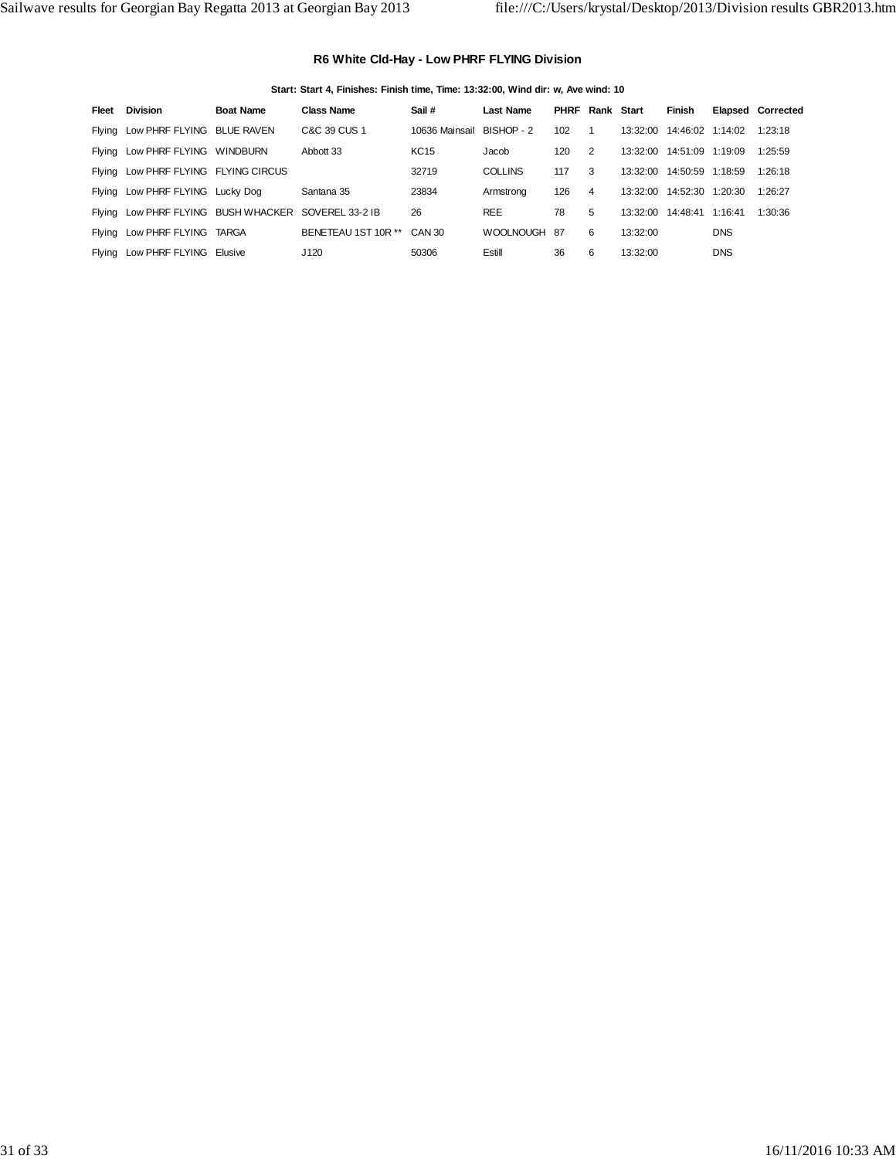### **R6 White Cld-Hay - Low PHRF FLYING Division**

### **Start: Start 4, Finishes: Finish time, Time: 13:32:00, Wind dir: w, Ave wind: 10**

| Fleet  | <b>Division</b>                                     | <b>Boat Name</b> | <b>Class Name</b>   | Sail#                     | <b>Last Name</b> | <b>PHRF Rank Start</b> |                |          | Finish           |            | <b>Elapsed Corrected</b> |
|--------|-----------------------------------------------------|------------------|---------------------|---------------------------|------------------|------------------------|----------------|----------|------------------|------------|--------------------------|
| Flying | Low PHRF FLYING BLUE RAVEN                          |                  | C&C 39 CUS 1        | 10636 Mainsail BISHOP - 2 |                  | 102                    | 1              | 13:32:00 | 14:46:02 1:14:02 |            | 1:23:18                  |
| Flvina | Low PHRF FLYING WINDBURN                            |                  | Abbott 33           | <b>KC15</b>               | Jacob            | 120                    | 2              | 13:32:00 | 14:51:09 1:19:09 |            | 1:25:59                  |
| Flvina | Low PHRF FLYING FLYING CIRCUS                       |                  |                     | 32719                     | <b>COLLINS</b>   | 117                    | 3              | 13:32:00 | 14:50:59 1:18:59 |            | 1:26:18                  |
| Flying | Low PHRF FLYING Lucky Dog                           |                  | Santana 35          | 23834                     | Armstrona        | 126                    | $\overline{4}$ | 13:32:00 | 14:52:30 1:20:30 |            | 1:26:27                  |
|        | Flying Low PHRF FLYING BUSH WHACKER SOVEREL 33-2 IB |                  |                     | 26                        | <b>REE</b>       | 78                     | 5              | 13:32:00 | 14:48:41         | 1:16:41    | 1:30:36                  |
|        | Flying Low PHRF FLYING TARGA                        |                  | BENETEAU 1ST 10R ** | CAN 30                    | WOOLNOUGH 87     |                        | 6              | 13:32:00 |                  | <b>DNS</b> |                          |
| Flvina | Low PHRF FLYING Elusive                             |                  | J120                | 50306                     | Estill           | 36                     | 6              | 13:32:00 |                  | <b>DNS</b> |                          |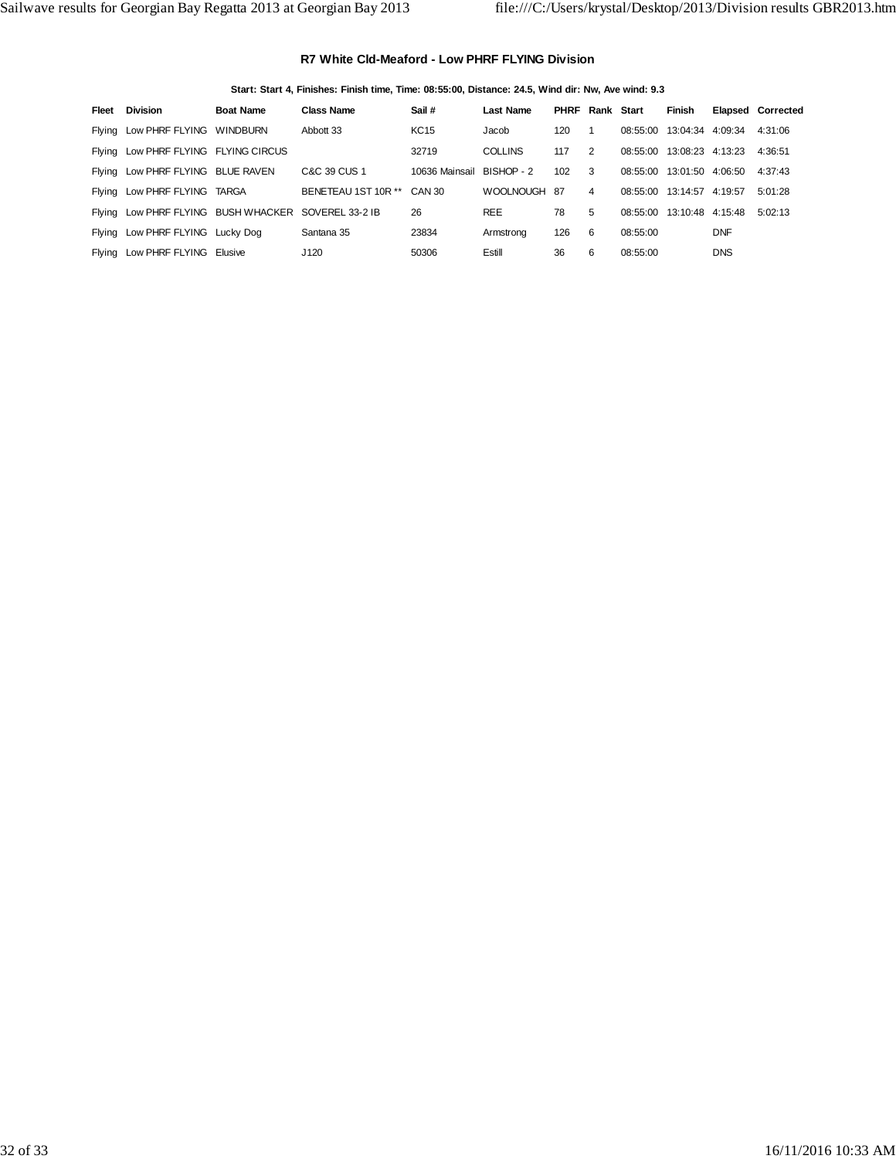### **R7 White Cld-Meaford - Low PHRF FLYING Division**

### **Start: Start 4, Finishes: Finish time, Time: 08:55:00, Distance: 24.5, Wind dir: Nw, Ave wind: 9.3**

| Fleet  | <b>Division</b>                                     | <b>Boat Name</b> | <b>Class Name</b>   | Sail#                     | Last Name      | PHRF | Rank Start    |          | <b>Finish</b>    |            | <b>Elapsed Corrected</b> |
|--------|-----------------------------------------------------|------------------|---------------------|---------------------------|----------------|------|---------------|----------|------------------|------------|--------------------------|
|        | Flying Low PHRF FLYING WINDBURN                     |                  | Abbott 33           | <b>KC15</b>               | Jacob          | 120  |               | 08:55:00 | 13:04:34 4:09:34 |            | 4:31:06                  |
| Flying | Low PHRF FLYING FLYING CIRCUS                       |                  |                     | 32719                     | <b>COLLINS</b> | 117  | $\mathcal{P}$ | 08:55:00 | 13:08:23 4:13:23 |            | 4:36:51                  |
| Flying | Low PHRF FLYING BLUE RAVEN                          |                  | C&C 39 CUS 1        | 10636 Mainsail BISHOP - 2 |                | 102  | 3             | 08:55:00 | 13:01:50 4:06:50 |            | 4:37:43                  |
| Flying | Low PHRF FLYING TARGA                               |                  | BENETEAU 1ST 10R ** | CAN 30                    | WOOLNOUGH 87   |      | 4             | 08:55:00 | 13:14:57 4:19:57 |            | 5:01:28                  |
|        | Flying Low PHRF FLYING BUSH WHACKER SOVEREL 33-2 IB |                  |                     | 26                        | <b>REE</b>     | 78   | 5             | 08:55:00 | 13:10:48 4:15:48 |            | 5:02:13                  |
|        | Flying Low PHRF FLYING Lucky Dog                    |                  | Santana 35          | 23834                     | Armstrona      | 126  | 6             | 08:55:00 |                  | <b>DNF</b> |                          |
| Flvina | Low PHRF FLYING Elusive                             |                  | J120                | 50306                     | Estill         | 36   | 6             | 08:55:00 |                  | <b>DNS</b> |                          |